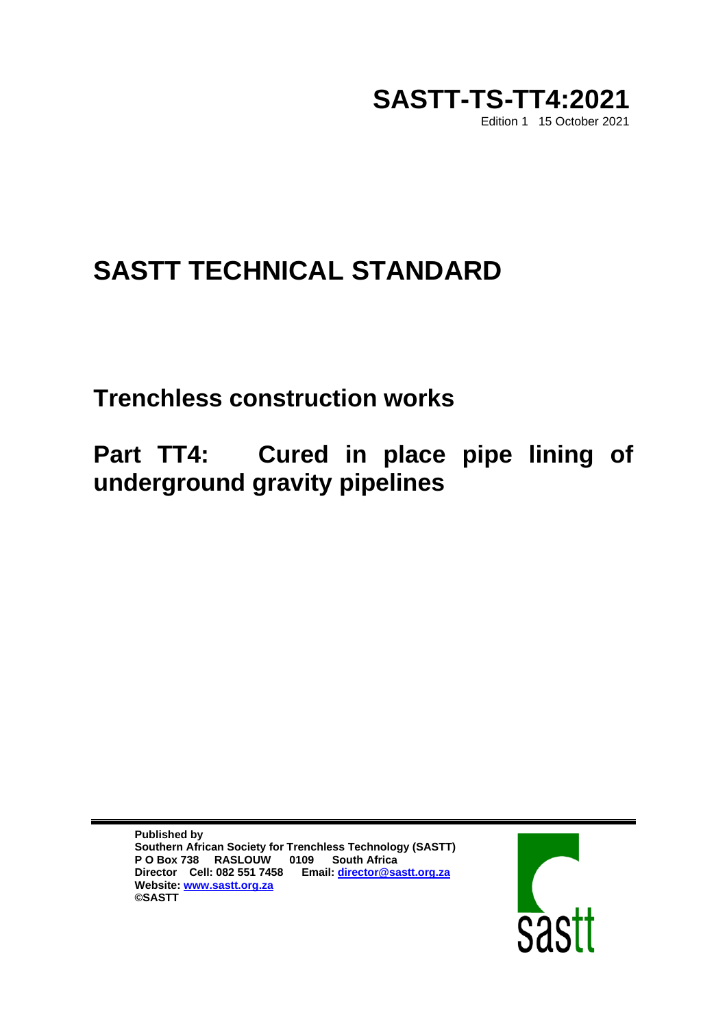

Edition 1 15 October 2021

# **SASTT TECHNICAL STANDARD**

# **Trenchless construction works**

**Part TT4: Cured in place pipe lining of underground gravity pipelines**

**Published by Southern African Society for Trenchless Technology (SASTT) P O Box 738 RASLOUW 0109 South Africa Director Cell: 082 551 7458 Email[: director@sastt.org.za](mailto:director@sastt.org.za)  Website[: www.sastt.org.za](http://www.sastt.org.za/) ©SASTT**

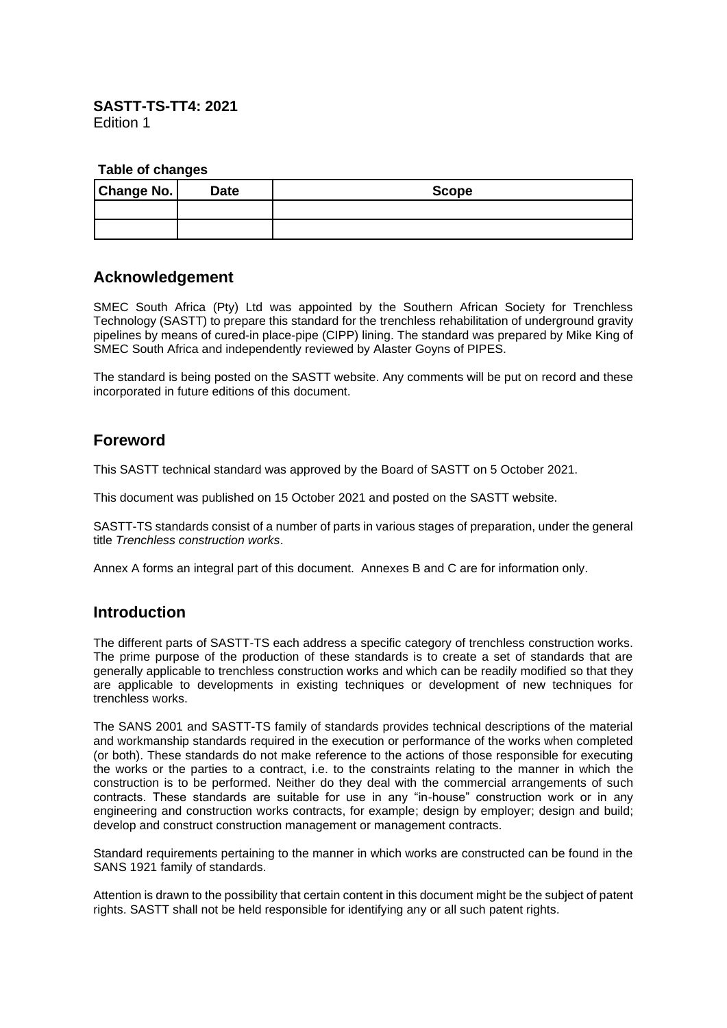# **Table of changes**

| <b>Change No.</b> | <b>Date</b> | <b>Scope</b> |
|-------------------|-------------|--------------|
|                   |             |              |
|                   |             |              |

# **Acknowledgement**

SMEC South Africa (Pty) Ltd was appointed by the Southern African Society for Trenchless Technology (SASTT) to prepare this standard for the trenchless rehabilitation of underground gravity pipelines by means of cured-in place-pipe (CIPP) lining. The standard was prepared by Mike King of SMEC South Africa and independently reviewed by Alaster Goyns of PIPES.

The standard is being posted on the SASTT website. Any comments will be put on record and these incorporated in future editions of this document.

# **Foreword**

This SASTT technical standard was approved by the Board of SASTT on 5 October 2021.

This document was published on 15 October 2021 and posted on the SASTT website.

SASTT-TS standards consist of a number of parts in various stages of preparation, under the general title *Trenchless construction works*.

Annex A forms an integral part of this document. Annexes B and C are for information only.

# **Introduction**

The different parts of SASTT-TS each address a specific category of trenchless construction works. The prime purpose of the production of these standards is to create a set of standards that are generally applicable to trenchless construction works and which can be readily modified so that they are applicable to developments in existing techniques or development of new techniques for trenchless works.

The SANS 2001 and SASTT-TS family of standards provides technical descriptions of the material and workmanship standards required in the execution or performance of the works when completed (or both). These standards do not make reference to the actions of those responsible for executing the works or the parties to a contract, i.e. to the constraints relating to the manner in which the construction is to be performed. Neither do they deal with the commercial arrangements of such contracts. These standards are suitable for use in any "in-house" construction work or in any engineering and construction works contracts, for example; design by employer; design and build; develop and construct construction management or management contracts.

Standard requirements pertaining to the manner in which works are constructed can be found in the SANS 1921 family of standards.

Attention is drawn to the possibility that certain content in this document might be the subject of patent rights. SASTT shall not be held responsible for identifying any or all such patent rights.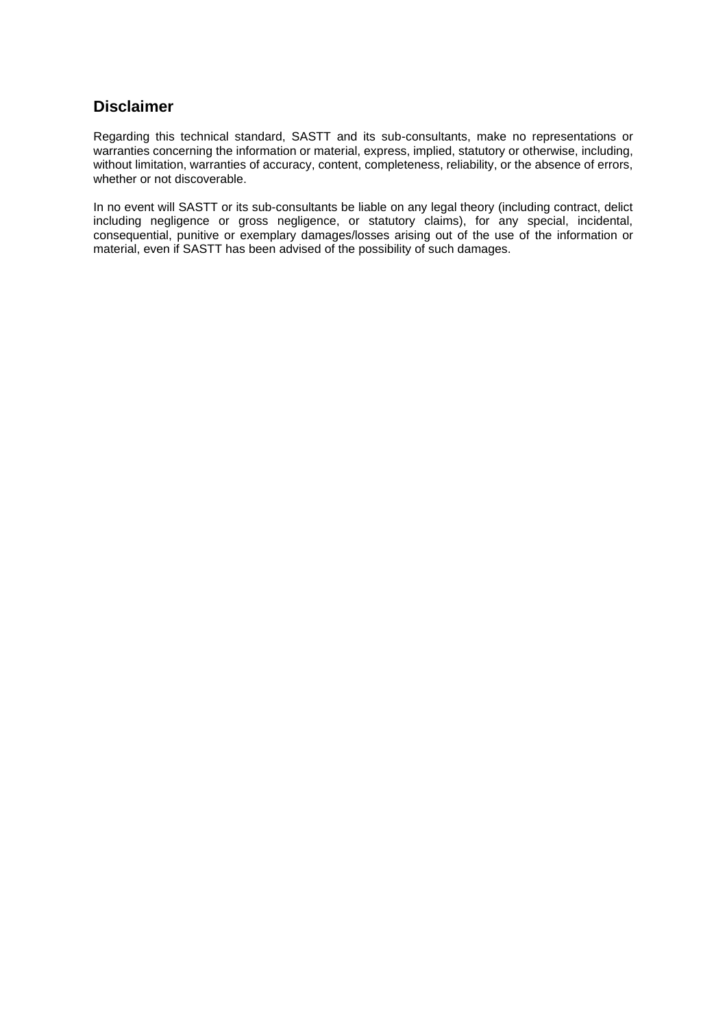# **Disclaimer**

Regarding this technical standard, SASTT and its sub-consultants, make no representations or warranties concerning the information or material, express, implied, statutory or otherwise, including, without limitation, warranties of accuracy, content, completeness, reliability, or the absence of errors, whether or not discoverable.

In no event will SASTT or its sub-consultants be liable on any legal theory (including contract, delict including negligence or gross negligence, or statutory claims), for any special, incidental, consequential, punitive or exemplary damages/losses arising out of the use of the information or material, even if SASTT has been advised of the possibility of such damages.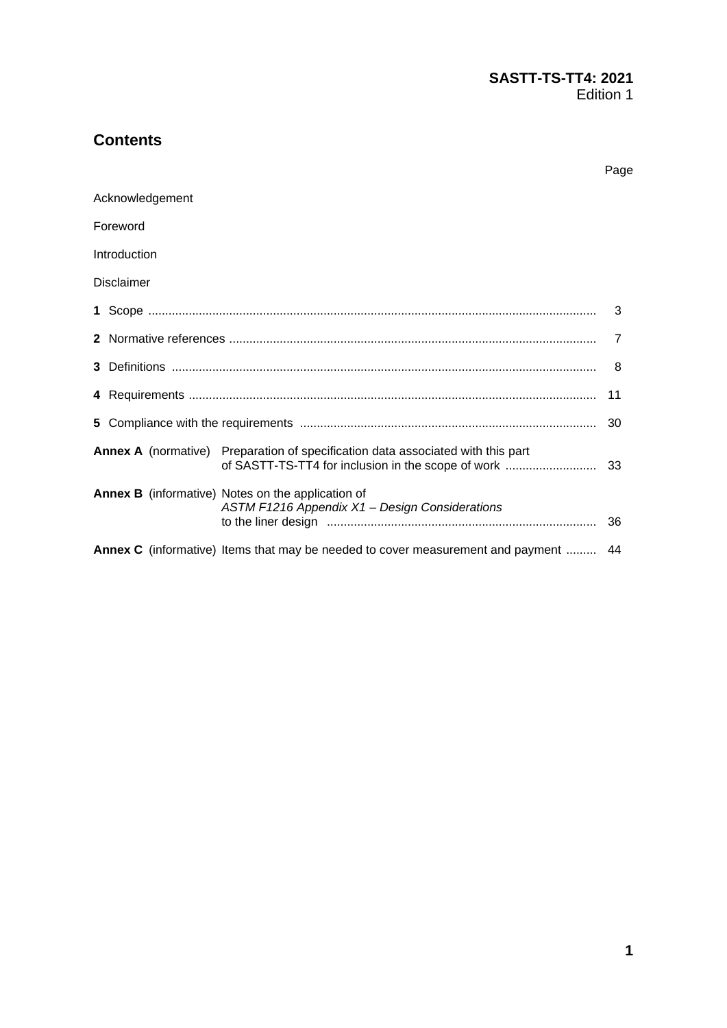# **Contents**

| Acknowledgement                                                                                     |                |
|-----------------------------------------------------------------------------------------------------|----------------|
| Foreword                                                                                            |                |
| Introduction                                                                                        |                |
| <b>Disclaimer</b>                                                                                   |                |
|                                                                                                     |                |
|                                                                                                     | $\overline{7}$ |
|                                                                                                     |                |
|                                                                                                     | 11             |
|                                                                                                     |                |
| <b>Annex A</b> (normative) Preparation of specification data associated with this part              |                |
| Annex B (informative) Notes on the application of<br>ASTM F1216 Appendix X1 - Design Considerations |                |
| Annex C (informative) Items that may be needed to cover measurement and payment                     | 44             |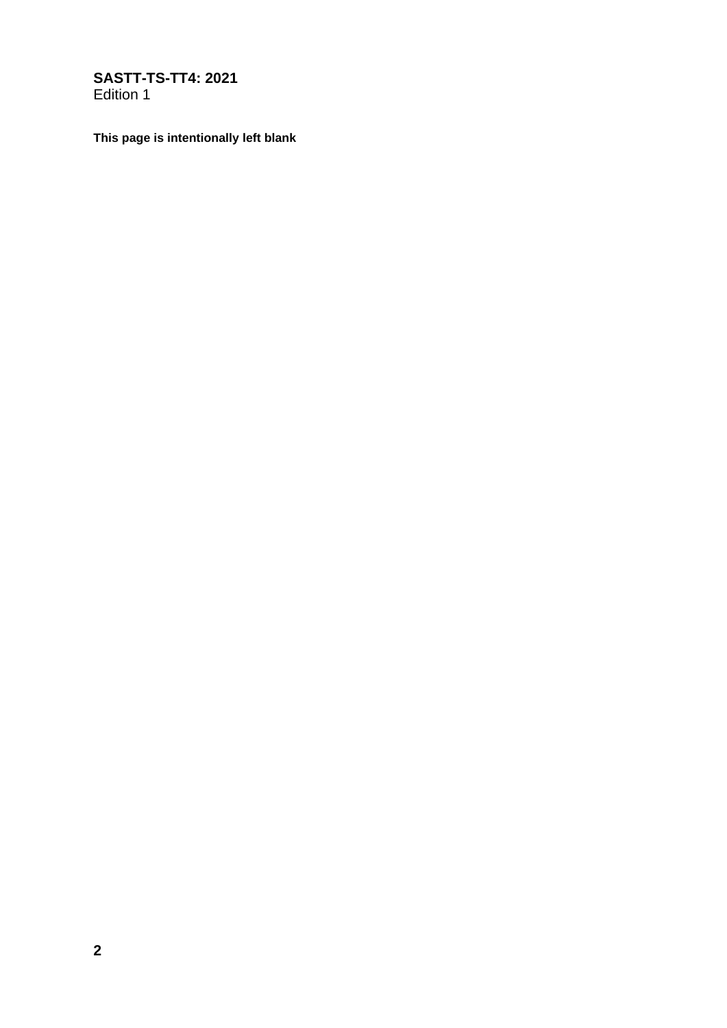**This page is intentionally left blank**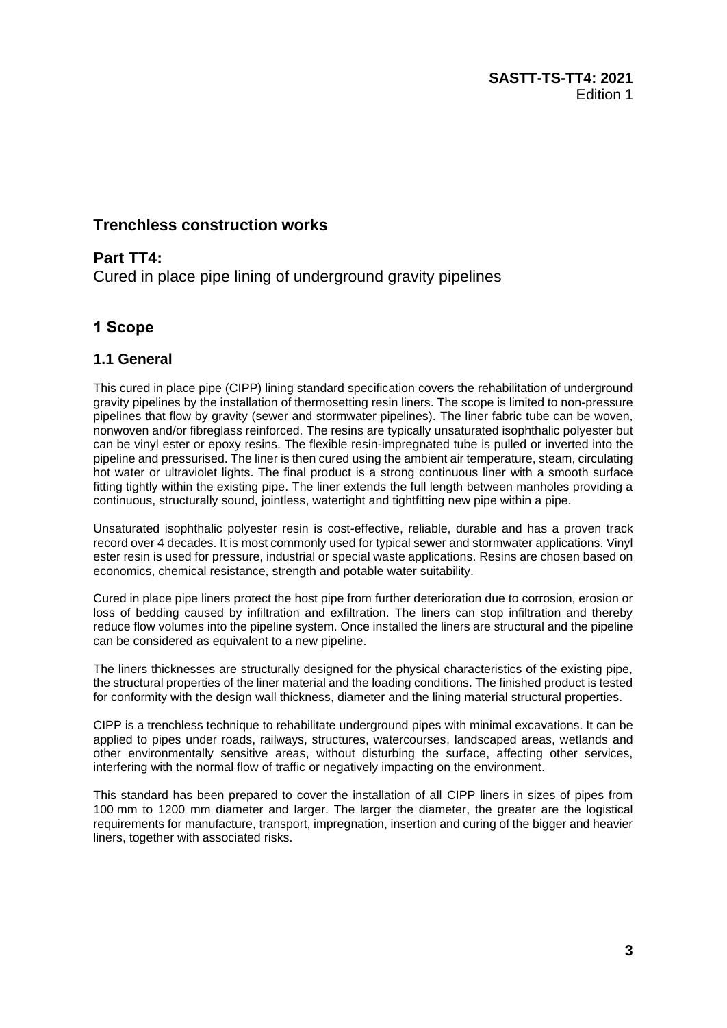# **Trenchless construction works**

# **Part TT4:**

Cured in place pipe lining of underground gravity pipelines

# **1 Scope**

# **1.1 General**

This cured in place pipe (CIPP) lining standard specification covers the rehabilitation of underground gravity pipelines by the installation of thermosetting resin liners. The scope is limited to non-pressure pipelines that flow by gravity (sewer and stormwater pipelines). The liner fabric tube can be woven, nonwoven and/or fibreglass reinforced. The resins are typically unsaturated isophthalic polyester but can be vinyl ester or epoxy resins. The flexible resin-impregnated tube is pulled or inverted into the pipeline and pressurised. The liner is then cured using the ambient air temperature, steam, circulating hot water or ultraviolet lights. The final product is a strong continuous liner with a smooth surface fitting tightly within the existing pipe. The liner extends the full length between manholes providing a continuous, structurally sound, jointless, watertight and tightfitting new pipe within a pipe.

Unsaturated isophthalic polyester resin is cost-effective, reliable, durable and has a proven track record over 4 decades. It is most commonly used for typical sewer and stormwater applications. Vinyl ester resin is used for pressure, industrial or special waste applications. Resins are chosen based on economics, chemical resistance, strength and potable water suitability.

Cured in place pipe liners protect the host pipe from further deterioration due to corrosion, erosion or loss of bedding caused by infiltration and exfiltration. The liners can stop infiltration and thereby reduce flow volumes into the pipeline system. Once installed the liners are structural and the pipeline can be considered as equivalent to a new pipeline.

The liners thicknesses are structurally designed for the physical characteristics of the existing pipe, the structural properties of the liner material and the loading conditions. The finished product is tested for conformity with the design wall thickness, diameter and the lining material structural properties.

CIPP is a trenchless technique to rehabilitate underground pipes with minimal excavations. It can be applied to pipes under roads, railways, structures, watercourses, landscaped areas, wetlands and other environmentally sensitive areas, without disturbing the surface, affecting other services, interfering with the normal flow of traffic or negatively impacting on the environment.

This standard has been prepared to cover the installation of all CIPP liners in sizes of pipes from 100 mm to 1200 mm diameter and larger. The larger the diameter, the greater are the logistical requirements for manufacture, transport, impregnation, insertion and curing of the bigger and heavier liners, together with associated risks.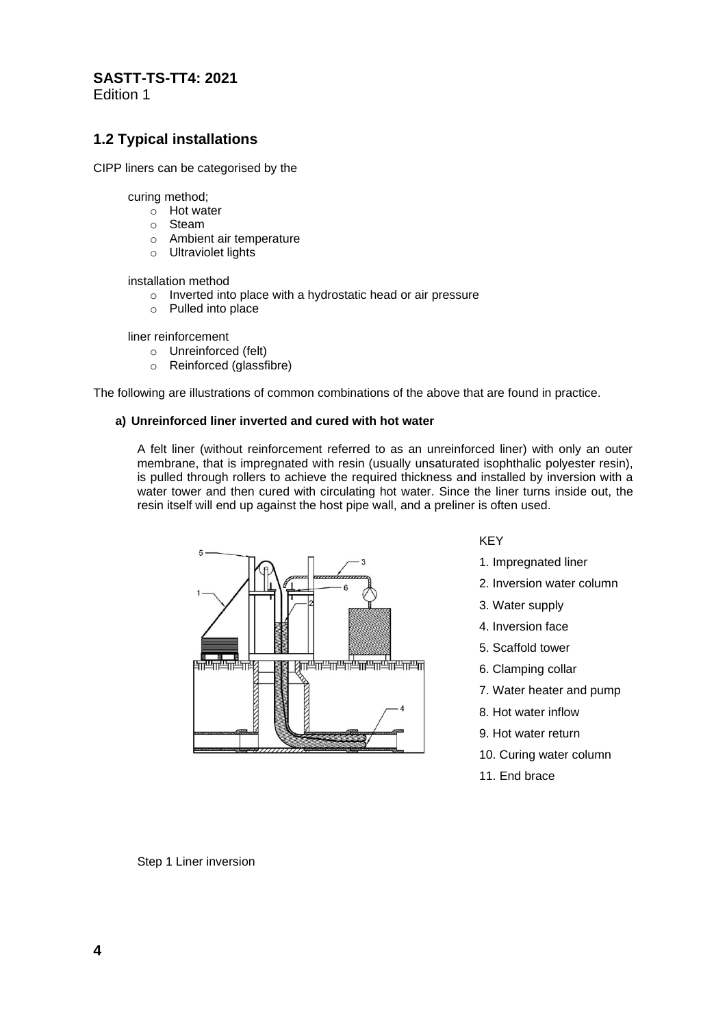# **SASTT-TS-TT4: 2021**

Edition 1

# **1.2 Typical installations**

CIPP liners can be categorised by the

curing method;

- o Hot water
- o Steam
- o Ambient air temperature
- o Ultraviolet lights

installation method

- o Inverted into place with a hydrostatic head or air pressure
- o Pulled into place

liner reinforcement

- o Unreinforced (felt)
- o Reinforced (glassfibre)

The following are illustrations of common combinations of the above that are found in practice.

## **a) Unreinforced liner inverted and cured with hot water**

A felt liner (without reinforcement referred to as an unreinforced liner) with only an outer membrane, that is impregnated with resin (usually unsaturated isophthalic polyester resin), is pulled through rollers to achieve the required thickness and installed by inversion with a water tower and then cured with circulating hot water. Since the liner turns inside out, the resin itself will end up against the host pipe wall, and a preliner is often used.



# KEY

1. Impregnated liner

- 2. Inversion water column
- 3. Water supply
- 4. Inversion face
- 5. Scaffold tower
- 6. Clamping collar
- 7. Water heater and pump
- 8. Hot water inflow
- 9. Hot water return
- 10. Curing water column
- 11. End brace

Step 1 Liner inversion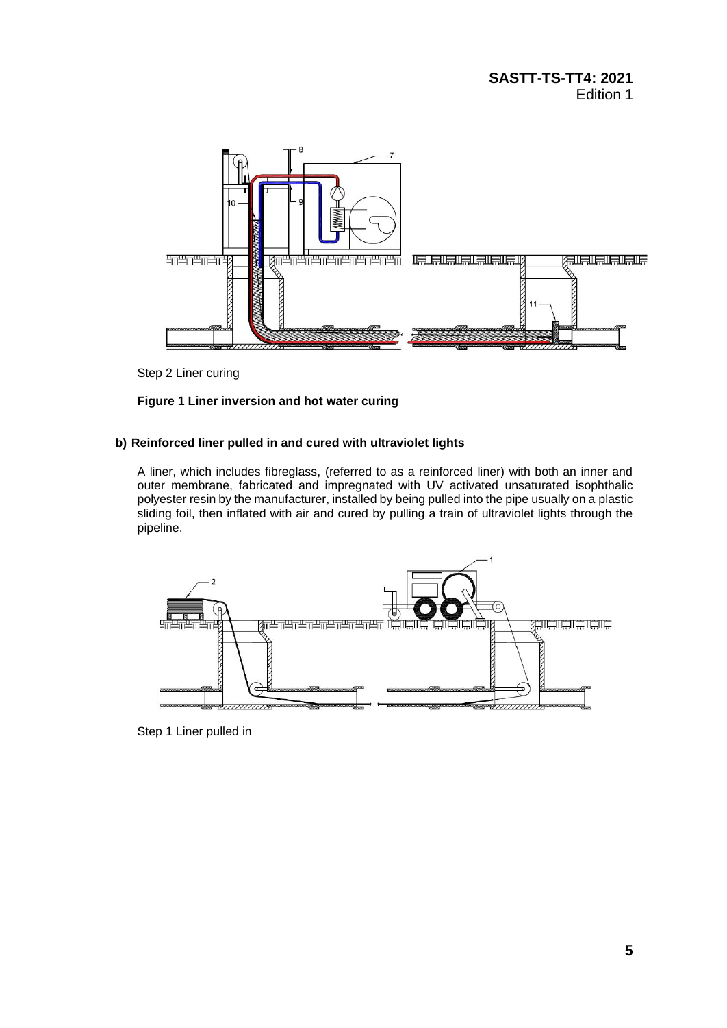

Step 2 Liner curing

# **Figure 1 Liner inversion and hot water curing**

# **b) Reinforced liner pulled in and cured with ultraviolet lights**

A liner, which includes fibreglass, (referred to as a reinforced liner) with both an inner and outer membrane, fabricated and impregnated with UV activated unsaturated isophthalic polyester resin by the manufacturer, installed by being pulled into the pipe usually on a plastic sliding foil, then inflated with air and cured by pulling a train of ultraviolet lights through the pipeline.



Step 1 Liner pulled in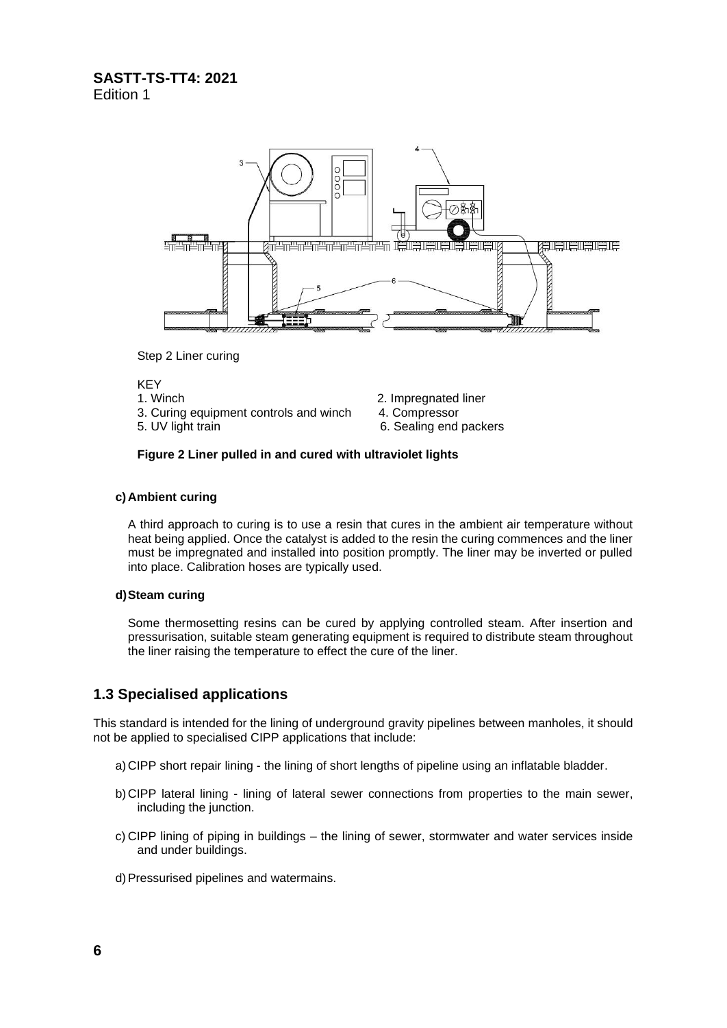

Step 2 Liner curing

- KEY
- 
- 3. Curing equipment controls and winch 4. Compressor
- 
- 1. Winch 2. Impregnated liner
	-
- 5. UV light train 6. Sealing end packers

## **Figure 2 Liner pulled in and cured with ultraviolet lights**

#### **c) Ambient curing**

A third approach to curing is to use a resin that cures in the ambient air temperature without heat being applied. Once the catalyst is added to the resin the curing commences and the liner must be impregnated and installed into position promptly. The liner may be inverted or pulled into place. Calibration hoses are typically used.

#### **d)Steam curing**

Some thermosetting resins can be cured by applying controlled steam. After insertion and pressurisation, suitable steam generating equipment is required to distribute steam throughout the liner raising the temperature to effect the cure of the liner.

# **1.3 Specialised applications**

This standard is intended for the lining of underground gravity pipelines between manholes, it should not be applied to specialised CIPP applications that include:

- a) CIPP short repair lining the lining of short lengths of pipeline using an inflatable bladder.
- b) CIPP lateral lining lining of lateral sewer connections from properties to the main sewer, including the junction.
- c) CIPP lining of piping in buildings the lining of sewer, stormwater and water services inside and under buildings.
- d) Pressurised pipelines and watermains.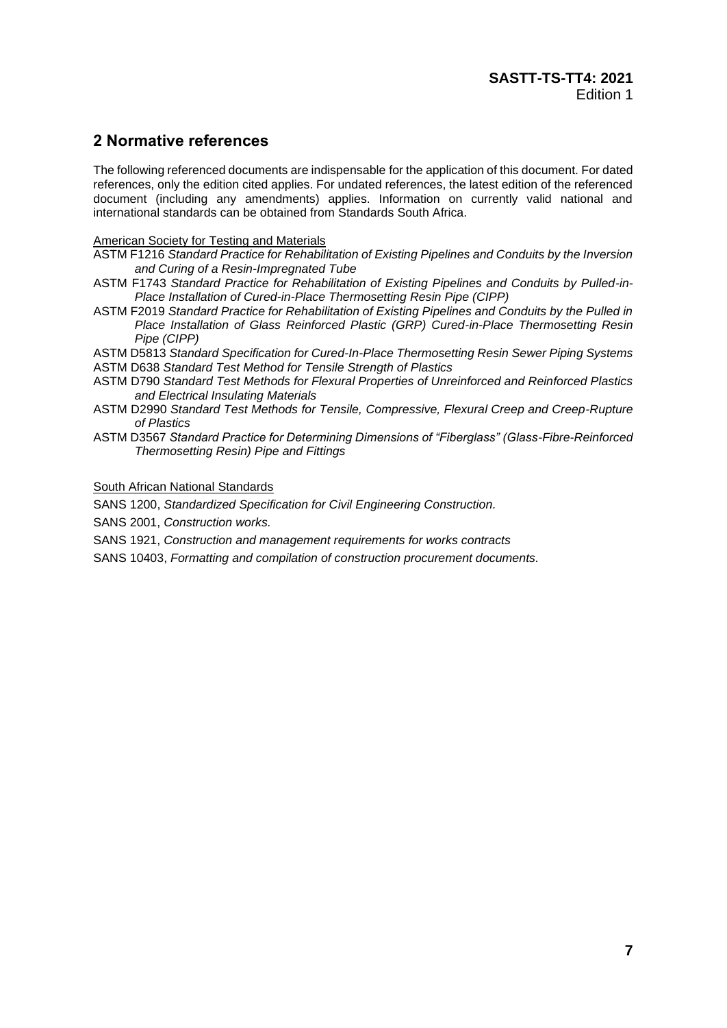# **2 Normative references**

The following referenced documents are indispensable for the application of this document. For dated references, only the edition cited applies. For undated references, the latest edition of the referenced document (including any amendments) applies. Information on currently valid national and international standards can be obtained from Standards South Africa.

## American Society for Testing and Materials

- ASTM F1216 *Standard Practice for Rehabilitation of Existing Pipelines and Conduits by the Inversion and Curing of a Resin-Impregnated Tube*
- ASTM F1743 *Standard Practice for Rehabilitation of Existing Pipelines and Conduits by Pulled-in-Place Installation of Cured-in-Place Thermosetting Resin Pipe (CIPP)*
- ASTM F2019 *Standard Practice for Rehabilitation of Existing Pipelines and Conduits by the Pulled in Place Installation of Glass Reinforced Plastic (GRP) Cured-in-Place Thermosetting Resin Pipe (CIPP)*
- ASTM D5813 *Standard Specification for Cured-In-Place Thermosetting Resin Sewer Piping Systems* ASTM D638 *Standard Test Method for Tensile Strength of Plastics*
- ASTM D790 *Standard Test Methods for Flexural Properties of Unreinforced and Reinforced Plastics and Electrical Insulating Materials*
- ASTM D2990 *Standard Test Methods for Tensile, Compressive, Flexural Creep and Creep-Rupture of Plastics*
- ASTM D3567 *Standard Practice for Determining Dimensions of "Fiberglass" (Glass-Fibre-Reinforced Thermosetting Resin) Pipe and Fittings*

South African National Standards

SANS 1200, *Standardized Specification for Civil Engineering Construction.*

SANS 2001, *Construction works.*

SANS 1921, *Construction and management requirements for works contracts*

SANS 10403, *Formatting and compilation of construction procurement documents.*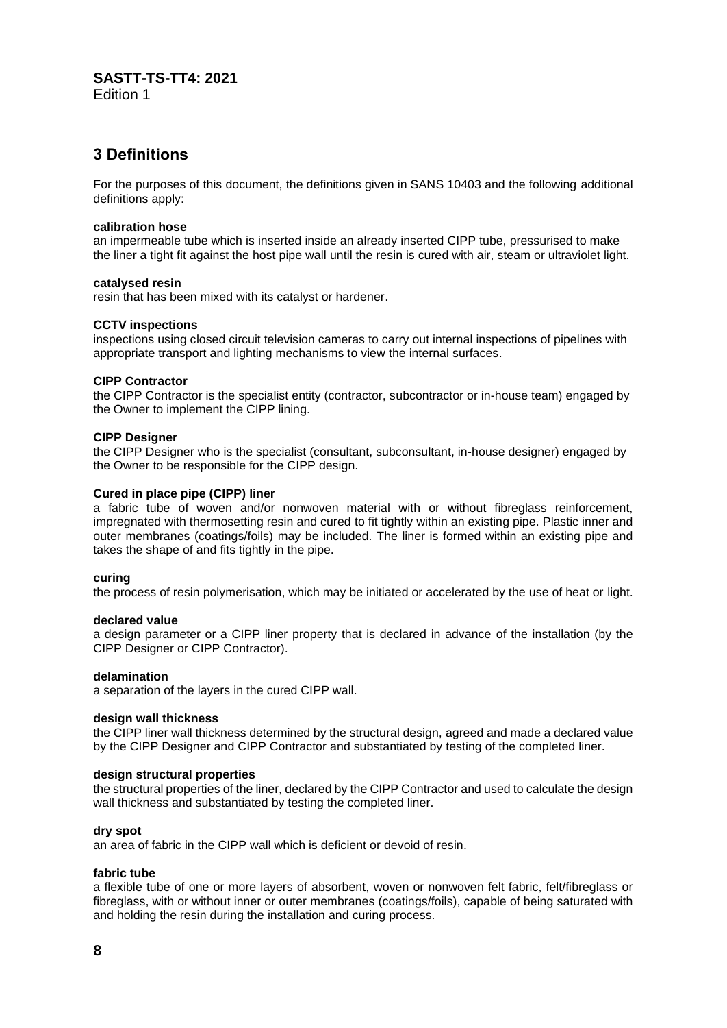# **SASTT-TS-TT4: 2021**

Edition 1

# **3 Definitions**

For the purposes of this document, the definitions given in SANS 10403 and the following additional definitions apply:

#### **calibration hose**

an impermeable tube which is inserted inside an already inserted CIPP tube, pressurised to make the liner a tight fit against the host pipe wall until the resin is cured with air, steam or ultraviolet light.

#### **catalysed resin**

resin that has been mixed with its catalyst or hardener.

## **CCTV inspections**

inspections using closed circuit television cameras to carry out internal inspections of pipelines with appropriate transport and lighting mechanisms to view the internal surfaces.

## **CIPP Contractor**

the CIPP Contractor is the specialist entity (contractor, subcontractor or in-house team) engaged by the Owner to implement the CIPP lining.

## **CIPP Designer**

the CIPP Designer who is the specialist (consultant, subconsultant, in-house designer) engaged by the Owner to be responsible for the CIPP design.

## **Cured in place pipe (CIPP) liner**

a fabric tube of woven and/or nonwoven material with or without fibreglass reinforcement, impregnated with thermosetting resin and cured to fit tightly within an existing pipe. Plastic inner and outer membranes (coatings/foils) may be included. The liner is formed within an existing pipe and takes the shape of and fits tightly in the pipe.

#### **curing**

the process of resin polymerisation, which may be initiated or accelerated by the use of heat or light.

#### **declared value**

a design parameter or a CIPP liner property that is declared in advance of the installation (by the CIPP Designer or CIPP Contractor).

#### **delamination**

a separation of the layers in the cured CIPP wall.

#### **design wall thickness**

the CIPP liner wall thickness determined by the structural design, agreed and made a declared value by the CIPP Designer and CIPP Contractor and substantiated by testing of the completed liner.

#### **design structural properties**

the structural properties of the liner, declared by the CIPP Contractor and used to calculate the design wall thickness and substantiated by testing the completed liner.

#### **dry spot**

an area of fabric in the CIPP wall which is deficient or devoid of resin.

#### **fabric tube**

a flexible tube of one or more layers of absorbent, woven or nonwoven felt fabric, felt/fibreglass or fibreglass, with or without inner or outer membranes (coatings/foils), capable of being saturated with and holding the resin during the installation and curing process.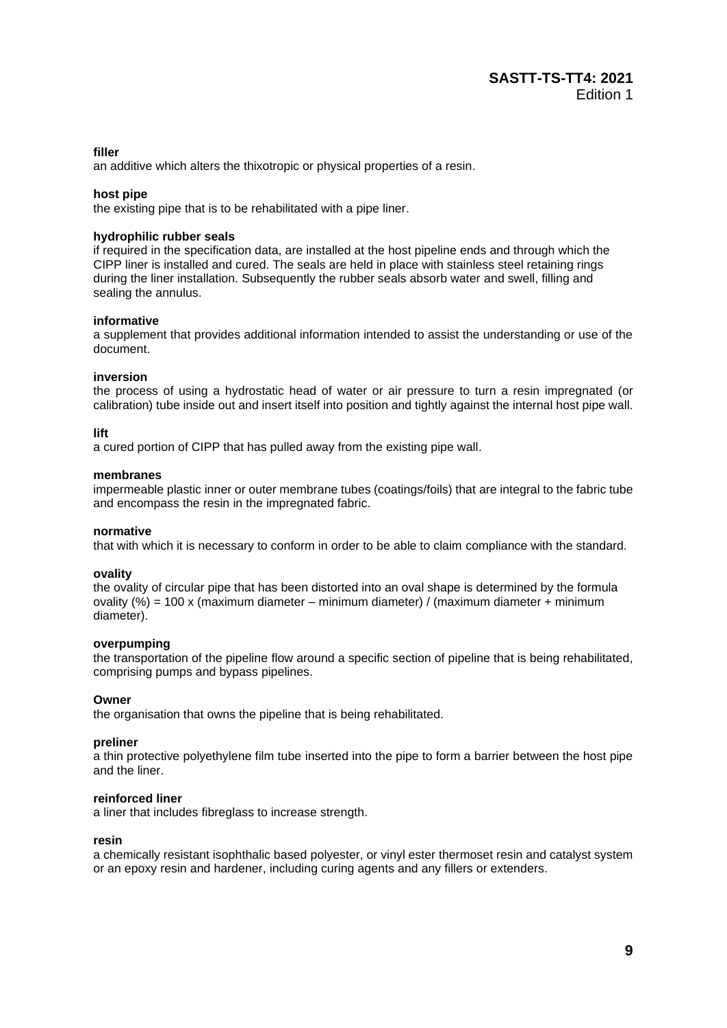#### **filler**

an additive which alters the thixotropic or physical properties of a resin.

#### **host pipe**

the existing pipe that is to be rehabilitated with a pipe liner.

#### **hydrophilic rubber seals**

if required in the specification data, are installed at the host pipeline ends and through which the CIPP liner is installed and cured. The seals are held in place with stainless steel retaining rings during the liner installation. Subsequently the rubber seals absorb water and swell, filling and sealing the annulus.

#### **informative**

a supplement that provides additional information intended to assist the understanding or use of the document.

#### **inversion**

the process of using a hydrostatic head of water or air pressure to turn a resin impregnated (or calibration) tube inside out and insert itself into position and tightly against the internal host pipe wall.

#### **lift**

a cured portion of CIPP that has pulled away from the existing pipe wall.

#### **membranes**

impermeable plastic inner or outer membrane tubes (coatings/foils) that are integral to the fabric tube and encompass the resin in the impregnated fabric.

#### **normative**

that with which it is necessary to conform in order to be able to claim compliance with the standard.

#### **ovality**

the ovality of circular pipe that has been distorted into an oval shape is determined by the formula ovality (%) = 100 x (maximum diameter – minimum diameter) / (maximum diameter + minimum diameter).

#### **overpumping**

the transportation of the pipeline flow around a specific section of pipeline that is being rehabilitated, comprising pumps and bypass pipelines.

#### **Owner**

the organisation that owns the pipeline that is being rehabilitated.

#### **preliner**

a thin protective polyethylene film tube inserted into the pipe to form a barrier between the host pipe and the liner.

#### **reinforced liner**

a liner that includes fibreglass to increase strength.

#### **resin**

a chemically resistant isophthalic based polyester, or vinyl ester thermoset resin and catalyst system or an epoxy resin and hardener, including curing agents and any fillers or extenders.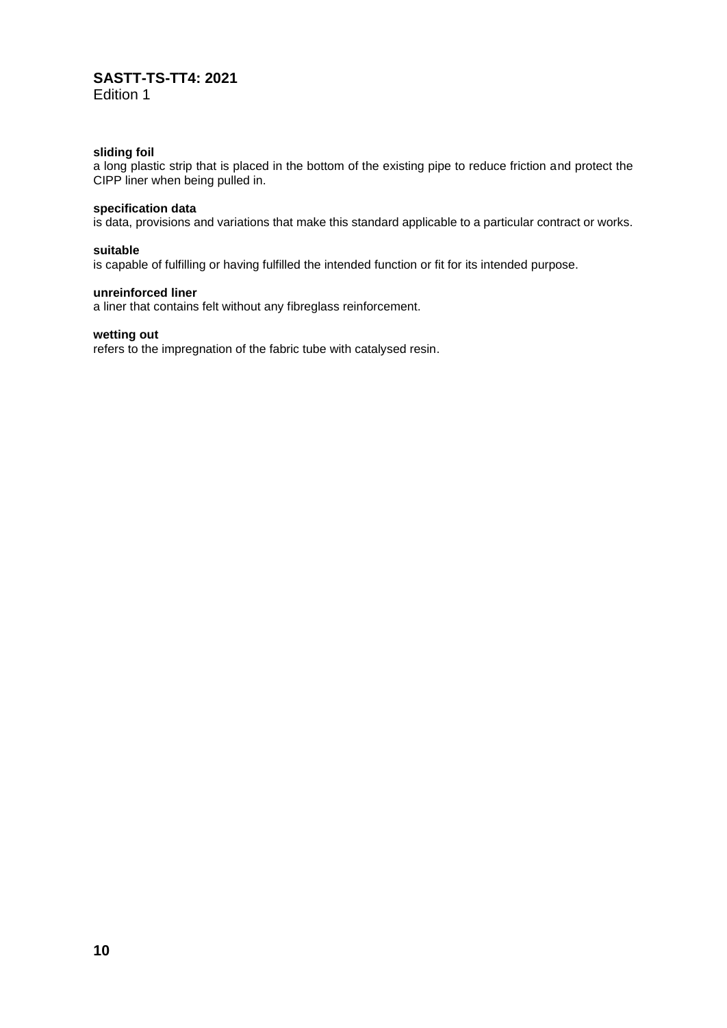# **SASTT-TS-TT4: 2021**

Edition 1

# **sliding foil**

a long plastic strip that is placed in the bottom of the existing pipe to reduce friction and protect the CIPP liner when being pulled in.

# **specification data**

is data, provisions and variations that make this standard applicable to a particular contract or works.

#### **suitable**

is capable of fulfilling or having fulfilled the intended function or fit for its intended purpose.

# **unreinforced liner**

a liner that contains felt without any fibreglass reinforcement.

## **wetting out**

refers to the impregnation of the fabric tube with catalysed resin.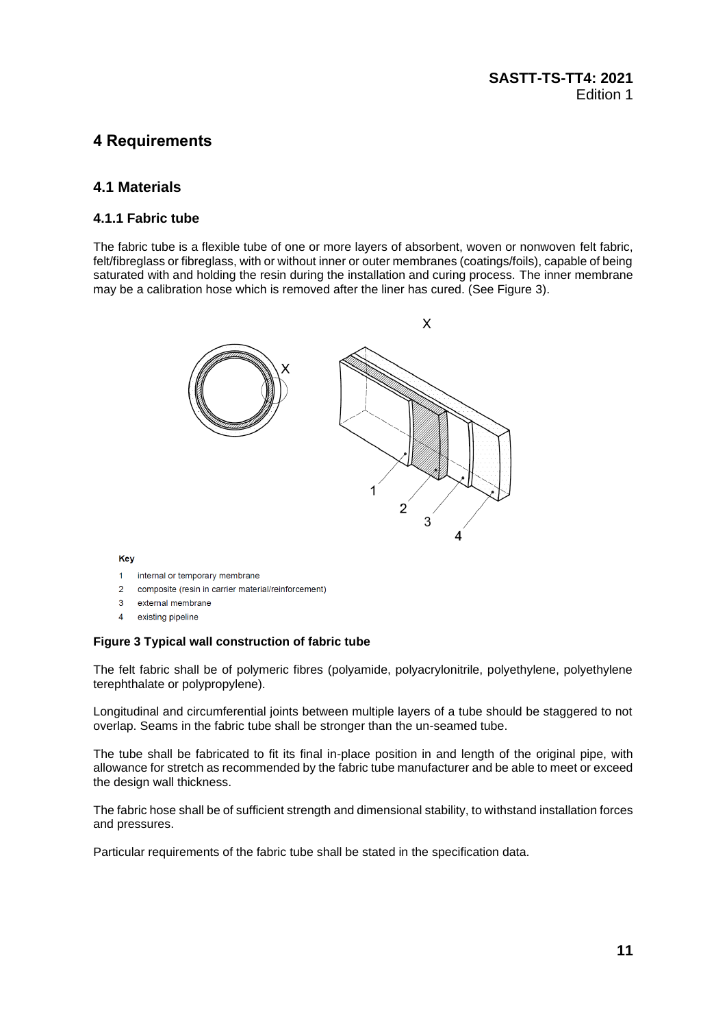# **4 Requirements**

# **4.1 Materials**

# **4.1.1 Fabric tube**

The fabric tube is a flexible tube of one or more layers of absorbent, woven or nonwoven felt fabric, felt/fibreglass or fibreglass, with or without inner or outer membranes (coatings/foils), capable of being saturated with and holding the resin during the installation and curing process. The inner membrane may be a calibration hose which is removed after the liner has cured. (See Figure 3).



#### Key

- $\mathbf{1}$ internal or temporary membrane
- $\overline{2}$ composite (resin in carrier material/reinforcement)
- $\mathbf{3}$ external membrane
- $\overline{4}$ existing pipeline

#### **Figure 3 Typical wall construction of fabric tube**

The felt fabric shall be of polymeric fibres (polyamide, polyacrylonitrile, polyethylene, polyethylene terephthalate or polypropylene).

Longitudinal and circumferential joints between multiple layers of a tube should be staggered to not overlap. Seams in the fabric tube shall be stronger than the un-seamed tube.

The tube shall be fabricated to fit its final in-place position in and length of the original pipe, with allowance for stretch as recommended by the fabric tube manufacturer and be able to meet or exceed the design wall thickness.

The fabric hose shall be of sufficient strength and dimensional stability, to withstand installation forces and pressures.

Particular requirements of the fabric tube shall be stated in the specification data.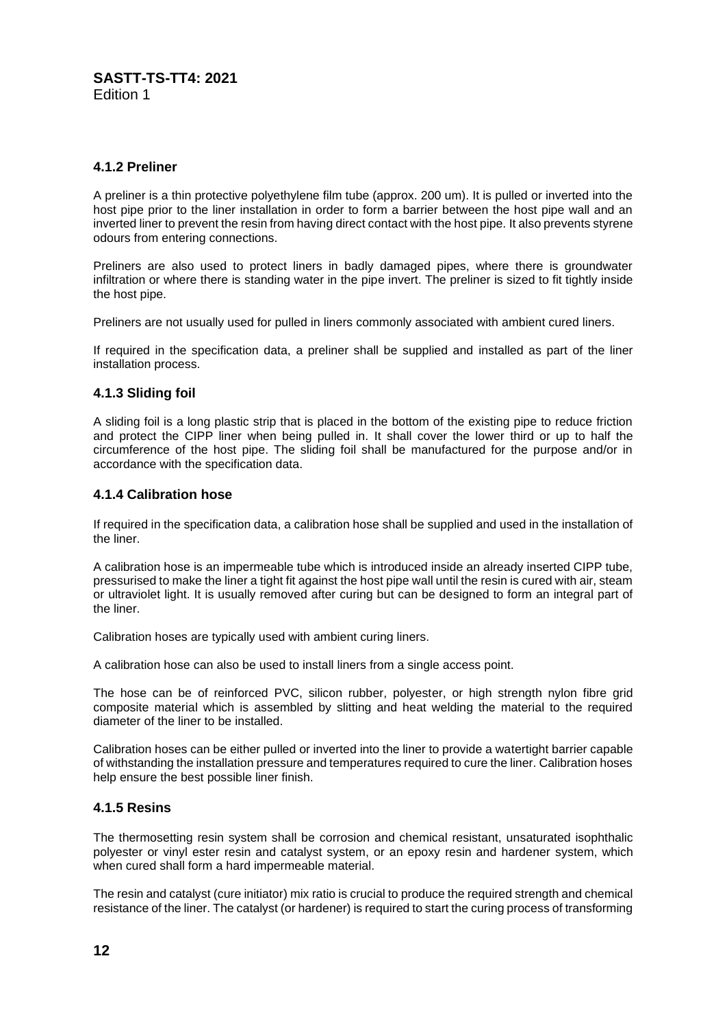# **4.1.2 Preliner**

A preliner is a thin protective polyethylene film tube (approx. 200 um). It is pulled or inverted into the host pipe prior to the liner installation in order to form a barrier between the host pipe wall and an inverted liner to prevent the resin from having direct contact with the host pipe. It also prevents styrene odours from entering connections.

Preliners are also used to protect liners in badly damaged pipes, where there is groundwater infiltration or where there is standing water in the pipe invert. The preliner is sized to fit tightly inside the host pipe.

Preliners are not usually used for pulled in liners commonly associated with ambient cured liners.

If required in the specification data, a preliner shall be supplied and installed as part of the liner installation process.

# **4.1.3 Sliding foil**

A sliding foil is a long plastic strip that is placed in the bottom of the existing pipe to reduce friction and protect the CIPP liner when being pulled in. It shall cover the lower third or up to half the circumference of the host pipe. The sliding foil shall be manufactured for the purpose and/or in accordance with the specification data.

# **4.1.4 Calibration hose**

If required in the specification data, a calibration hose shall be supplied and used in the installation of the liner.

A calibration hose is an impermeable tube which is introduced inside an already inserted CIPP tube, pressurised to make the liner a tight fit against the host pipe wall until the resin is cured with air, steam or ultraviolet light. It is usually removed after curing but can be designed to form an integral part of the liner.

Calibration hoses are typically used with ambient curing liners.

A calibration hose can also be used to install liners from a single access point.

The hose can be of reinforced PVC, silicon rubber, polyester, or high strength nylon fibre grid composite material which is assembled by slitting and heat welding the material to the required diameter of the liner to be installed.

Calibration hoses can be either pulled or inverted into the liner to provide a watertight barrier capable of withstanding the installation pressure and temperatures required to cure the liner. Calibration hoses help ensure the best possible liner finish.

# **4.1.5 Resins**

The thermosetting resin system shall be corrosion and chemical resistant, unsaturated isophthalic polyester or vinyl ester resin and catalyst system, or an epoxy resin and hardener system, which when cured shall form a hard impermeable material.

The resin and catalyst (cure initiator) mix ratio is crucial to produce the required strength and chemical resistance of the liner. The catalyst (or hardener) is required to start the curing process of transforming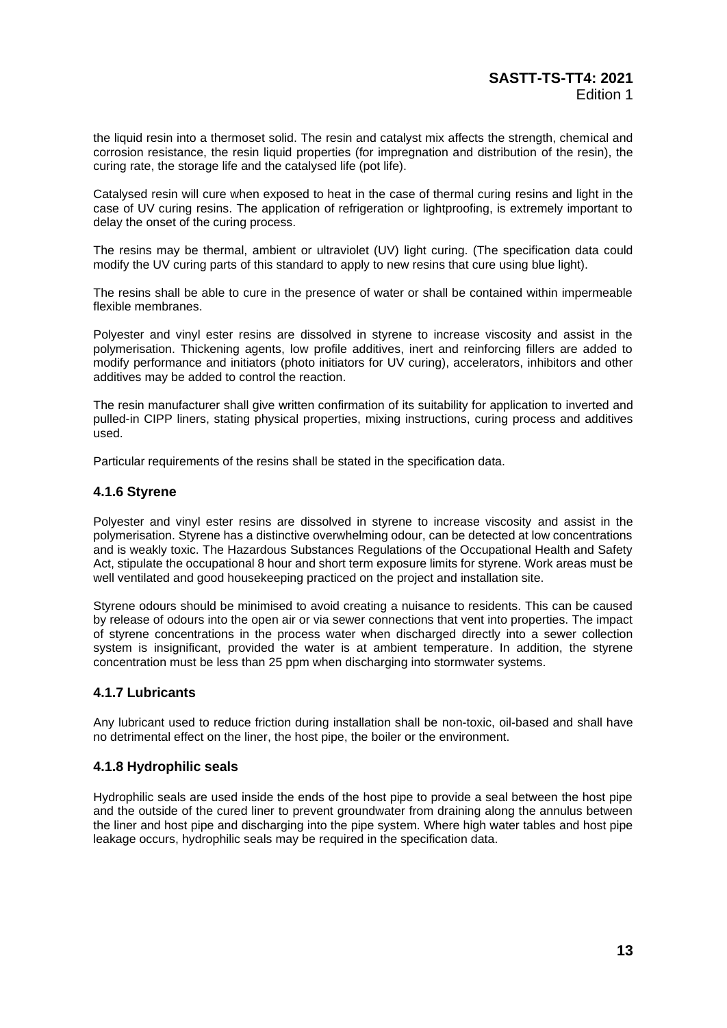the liquid resin into a thermoset solid. The resin and catalyst mix affects the strength, chemical and corrosion resistance, the resin liquid properties (for impregnation and distribution of the resin), the curing rate, the storage life and the catalysed life (pot life).

Catalysed resin will cure when exposed to heat in the case of thermal curing resins and light in the case of UV curing resins. The application of refrigeration or lightproofing, is extremely important to delay the onset of the curing process.

The resins may be thermal, ambient or ultraviolet (UV) light curing. (The specification data could modify the UV curing parts of this standard to apply to new resins that cure using blue light).

The resins shall be able to cure in the presence of water or shall be contained within impermeable flexible membranes.

Polyester and vinyl ester resins are dissolved in styrene to increase viscosity and assist in the polymerisation. Thickening agents, low profile additives, inert and reinforcing fillers are added to modify performance and initiators (photo initiators for UV curing), accelerators, inhibitors and other additives may be added to control the reaction.

The resin manufacturer shall give written confirmation of its suitability for application to inverted and pulled-in CIPP liners, stating physical properties, mixing instructions, curing process and additives used.

Particular requirements of the resins shall be stated in the specification data.

## **4.1.6 Styrene**

Polyester and vinyl ester resins are dissolved in styrene to increase viscosity and assist in the polymerisation. Styrene has a distinctive overwhelming odour, can be detected at low concentrations and is weakly toxic. The Hazardous Substances Regulations of the Occupational Health and Safety Act, stipulate the occupational 8 hour and short term exposure limits for styrene. Work areas must be well ventilated and good housekeeping practiced on the project and installation site.

Styrene odours should be minimised to avoid creating a nuisance to residents. This can be caused by release of odours into the open air or via sewer connections that vent into properties. The impact of styrene concentrations in the process water when discharged directly into a sewer collection system is insignificant, provided the water is at ambient temperature. In addition, the styrene concentration must be less than 25 ppm when discharging into stormwater systems.

#### **4.1.7 Lubricants**

Any lubricant used to reduce friction during installation shall be non-toxic, oil-based and shall have no detrimental effect on the liner, the host pipe, the boiler or the environment.

# **4.1.8 Hydrophilic seals**

Hydrophilic seals are used inside the ends of the host pipe to provide a seal between the host pipe and the outside of the cured liner to prevent groundwater from draining along the annulus between the liner and host pipe and discharging into the pipe system. Where high water tables and host pipe leakage occurs, hydrophilic seals may be required in the specification data.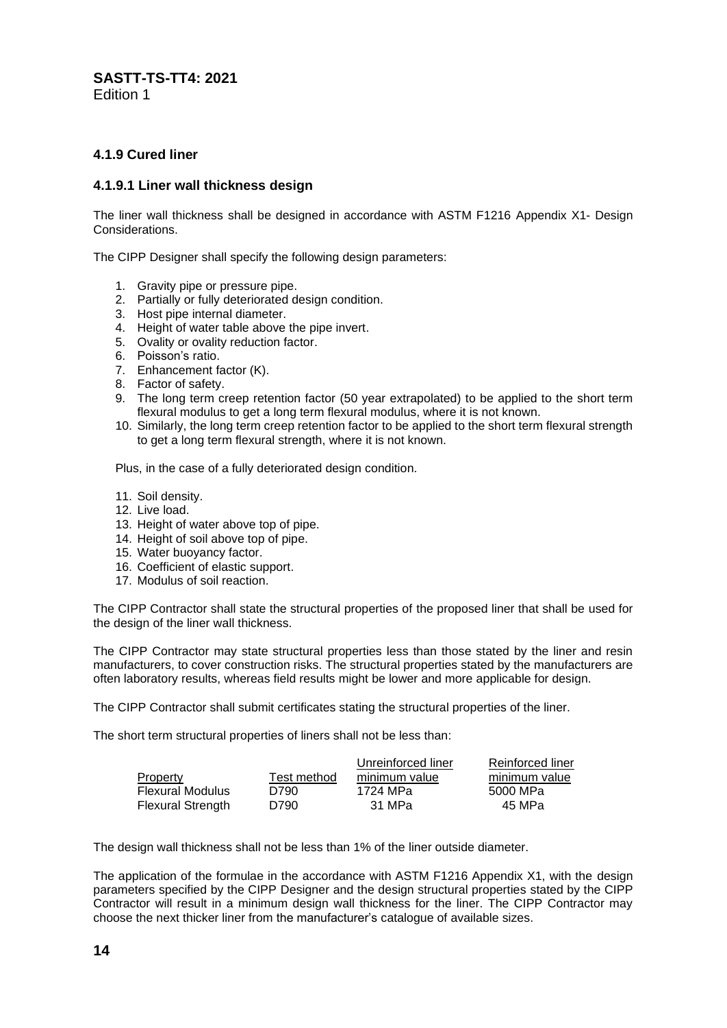# **SASTT-TS-TT4: 2021**

Edition 1

# **4.1.9 Cured liner**

# **4.1.9.1 Liner wall thickness design**

The liner wall thickness shall be designed in accordance with ASTM F1216 Appendix X1- Design Considerations.

The CIPP Designer shall specify the following design parameters:

- 1. Gravity pipe or pressure pipe.
- 2. Partially or fully deteriorated design condition.
- 3. Host pipe internal diameter.
- 4. Height of water table above the pipe invert.
- 5. Ovality or ovality reduction factor.
- 6. Poisson's ratio.
- 7. Enhancement factor (K).
- 8. Factor of safety.
- 9. The long term creep retention factor (50 year extrapolated) to be applied to the short term flexural modulus to get a long term flexural modulus, where it is not known.
- 10. Similarly, the long term creep retention factor to be applied to the short term flexural strength to get a long term flexural strength, where it is not known.

Plus, in the case of a fully deteriorated design condition.

- 11. Soil density.
- 12. Live load.
- 13. Height of water above top of pipe.
- 14. Height of soil above top of pipe.
- 15. Water buoyancy factor.
- 16. Coefficient of elastic support.
- 17. Modulus of soil reaction.

The CIPP Contractor shall state the structural properties of the proposed liner that shall be used for the design of the liner wall thickness.

The CIPP Contractor may state structural properties less than those stated by the liner and resin manufacturers, to cover construction risks. The structural properties stated by the manufacturers are often laboratory results, whereas field results might be lower and more applicable for design.

The CIPP Contractor shall submit certificates stating the structural properties of the liner.

The short term structural properties of liners shall not be less than:

|                          |             | Unreinforced liner | Reinforced liner |
|--------------------------|-------------|--------------------|------------------|
| Property                 | Test method | minimum value      | minimum value    |
| <b>Flexural Modulus</b>  | D790        | 1724 MPa           | 5000 MPa         |
| <b>Flexural Strength</b> | D790        | 31 MPa             | 45 MPa           |

The design wall thickness shall not be less than 1% of the liner outside diameter.

The application of the formulae in the accordance with ASTM F1216 Appendix X1, with the design parameters specified by the CIPP Designer and the design structural properties stated by the CIPP Contractor will result in a minimum design wall thickness for the liner. The CIPP Contractor may choose the next thicker liner from the manufacturer's catalogue of available sizes.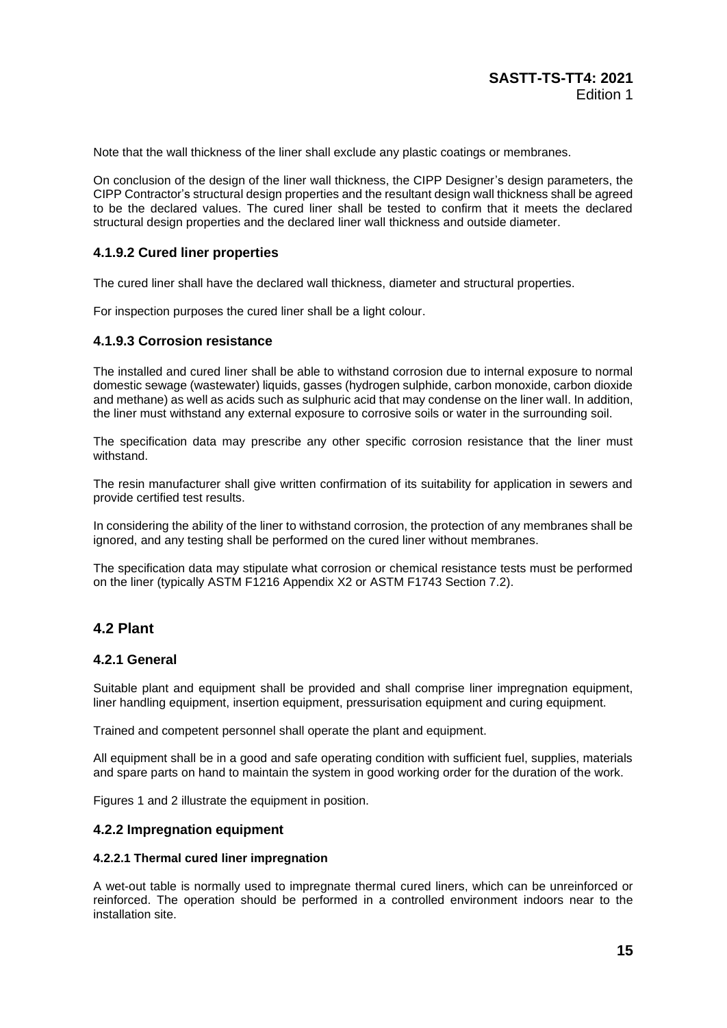Note that the wall thickness of the liner shall exclude any plastic coatings or membranes.

On conclusion of the design of the liner wall thickness, the CIPP Designer's design parameters, the CIPP Contractor's structural design properties and the resultant design wall thickness shall be agreed to be the declared values. The cured liner shall be tested to confirm that it meets the declared structural design properties and the declared liner wall thickness and outside diameter.

#### **4.1.9.2 Cured liner properties**

The cured liner shall have the declared wall thickness, diameter and structural properties.

For inspection purposes the cured liner shall be a light colour.

#### **4.1.9.3 Corrosion resistance**

The installed and cured liner shall be able to withstand corrosion due to internal exposure to normal domestic sewage (wastewater) liquids, gasses (hydrogen sulphide, carbon monoxide, carbon dioxide and methane) as well as acids such as sulphuric acid that may condense on the liner wall. In addition, the liner must withstand any external exposure to corrosive soils or water in the surrounding soil.

The specification data may prescribe any other specific corrosion resistance that the liner must withstand.

The resin manufacturer shall give written confirmation of its suitability for application in sewers and provide certified test results.

In considering the ability of the liner to withstand corrosion, the protection of any membranes shall be ignored, and any testing shall be performed on the cured liner without membranes.

The specification data may stipulate what corrosion or chemical resistance tests must be performed on the liner (typically ASTM F1216 Appendix X2 or ASTM F1743 Section 7.2).

# **4.2 Plant**

## **4.2.1 General**

Suitable plant and equipment shall be provided and shall comprise liner impregnation equipment, liner handling equipment, insertion equipment, pressurisation equipment and curing equipment.

Trained and competent personnel shall operate the plant and equipment.

All equipment shall be in a good and safe operating condition with sufficient fuel, supplies, materials and spare parts on hand to maintain the system in good working order for the duration of the work.

Figures 1 and 2 illustrate the equipment in position.

#### **4.2.2 Impregnation equipment**

#### **4.2.2.1 Thermal cured liner impregnation**

A wet-out table is normally used to impregnate thermal cured liners, which can be unreinforced or reinforced. The operation should be performed in a controlled environment indoors near to the installation site.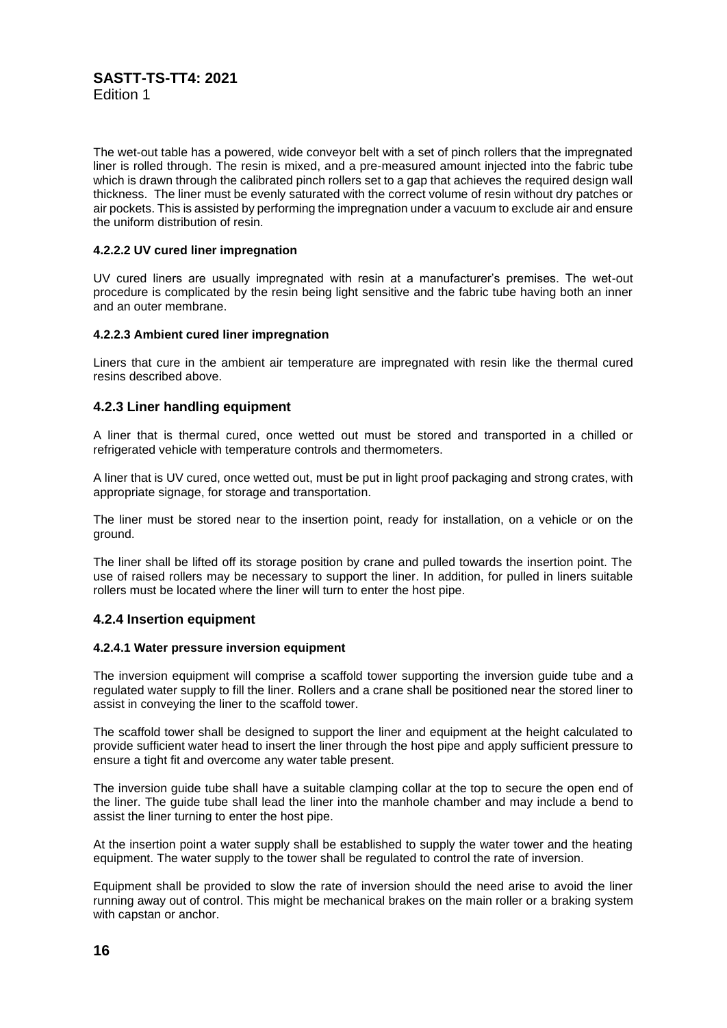The wet-out table has a powered, wide conveyor belt with a set of pinch rollers that the impregnated liner is rolled through. The resin is mixed, and a pre-measured amount injected into the fabric tube which is drawn through the calibrated pinch rollers set to a gap that achieves the required design wall thickness. The liner must be evenly saturated with the correct volume of resin without dry patches or air pockets. This is assisted by performing the impregnation under a vacuum to exclude air and ensure the uniform distribution of resin.

## **4.2.2.2 UV cured liner impregnation**

UV cured liners are usually impregnated with resin at a manufacturer's premises. The wet-out procedure is complicated by the resin being light sensitive and the fabric tube having both an inner and an outer membrane.

#### **4.2.2.3 Ambient cured liner impregnation**

Liners that cure in the ambient air temperature are impregnated with resin like the thermal cured resins described above.

# **4.2.3 Liner handling equipment**

A liner that is thermal cured, once wetted out must be stored and transported in a chilled or refrigerated vehicle with temperature controls and thermometers.

A liner that is UV cured, once wetted out, must be put in light proof packaging and strong crates, with appropriate signage, for storage and transportation.

The liner must be stored near to the insertion point, ready for installation, on a vehicle or on the ground.

The liner shall be lifted off its storage position by crane and pulled towards the insertion point. The use of raised rollers may be necessary to support the liner. In addition, for pulled in liners suitable rollers must be located where the liner will turn to enter the host pipe.

# **4.2.4 Insertion equipment**

#### **4.2.4.1 Water pressure inversion equipment**

The inversion equipment will comprise a scaffold tower supporting the inversion guide tube and a regulated water supply to fill the liner. Rollers and a crane shall be positioned near the stored liner to assist in conveying the liner to the scaffold tower.

The scaffold tower shall be designed to support the liner and equipment at the height calculated to provide sufficient water head to insert the liner through the host pipe and apply sufficient pressure to ensure a tight fit and overcome any water table present.

The inversion guide tube shall have a suitable clamping collar at the top to secure the open end of the liner. The guide tube shall lead the liner into the manhole chamber and may include a bend to assist the liner turning to enter the host pipe.

At the insertion point a water supply shall be established to supply the water tower and the heating equipment. The water supply to the tower shall be regulated to control the rate of inversion.

Equipment shall be provided to slow the rate of inversion should the need arise to avoid the liner running away out of control. This might be mechanical brakes on the main roller or a braking system with capstan or anchor.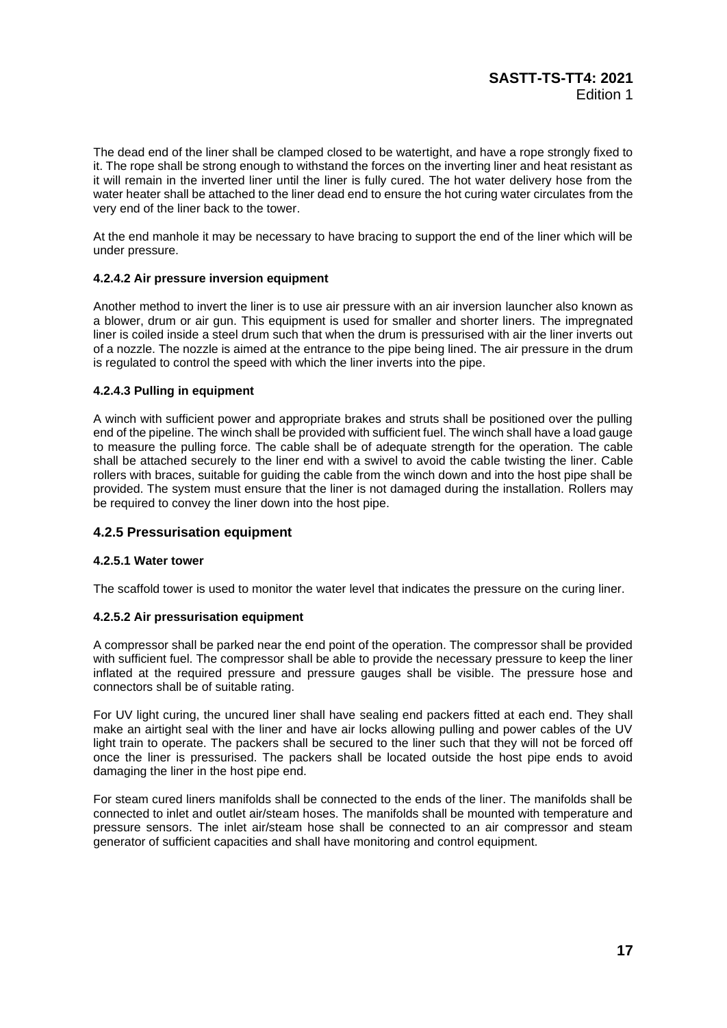The dead end of the liner shall be clamped closed to be watertight, and have a rope strongly fixed to it. The rope shall be strong enough to withstand the forces on the inverting liner and heat resistant as it will remain in the inverted liner until the liner is fully cured. The hot water delivery hose from the water heater shall be attached to the liner dead end to ensure the hot curing water circulates from the very end of the liner back to the tower.

At the end manhole it may be necessary to have bracing to support the end of the liner which will be under pressure.

## **4.2.4.2 Air pressure inversion equipment**

Another method to invert the liner is to use air pressure with an air inversion launcher also known as a blower, drum or air gun. This equipment is used for smaller and shorter liners. The impregnated liner is coiled inside a steel drum such that when the drum is pressurised with air the liner inverts out of a nozzle. The nozzle is aimed at the entrance to the pipe being lined. The air pressure in the drum is regulated to control the speed with which the liner inverts into the pipe.

## **4.2.4.3 Pulling in equipment**

A winch with sufficient power and appropriate brakes and struts shall be positioned over the pulling end of the pipeline. The winch shall be provided with sufficient fuel. The winch shall have a load gauge to measure the pulling force. The cable shall be of adequate strength for the operation. The cable shall be attached securely to the liner end with a swivel to avoid the cable twisting the liner. Cable rollers with braces, suitable for guiding the cable from the winch down and into the host pipe shall be provided. The system must ensure that the liner is not damaged during the installation. Rollers may be required to convey the liner down into the host pipe.

# **4.2.5 Pressurisation equipment**

#### **4.2.5.1 Water tower**

The scaffold tower is used to monitor the water level that indicates the pressure on the curing liner.

#### **4.2.5.2 Air pressurisation equipment**

A compressor shall be parked near the end point of the operation. The compressor shall be provided with sufficient fuel. The compressor shall be able to provide the necessary pressure to keep the liner inflated at the required pressure and pressure gauges shall be visible. The pressure hose and connectors shall be of suitable rating.

For UV light curing, the uncured liner shall have sealing end packers fitted at each end. They shall make an airtight seal with the liner and have air locks allowing pulling and power cables of the UV light train to operate. The packers shall be secured to the liner such that they will not be forced off once the liner is pressurised. The packers shall be located outside the host pipe ends to avoid damaging the liner in the host pipe end.

For steam cured liners manifolds shall be connected to the ends of the liner. The manifolds shall be connected to inlet and outlet air/steam hoses. The manifolds shall be mounted with temperature and pressure sensors. The inlet air/steam hose shall be connected to an air compressor and steam generator of sufficient capacities and shall have monitoring and control equipment.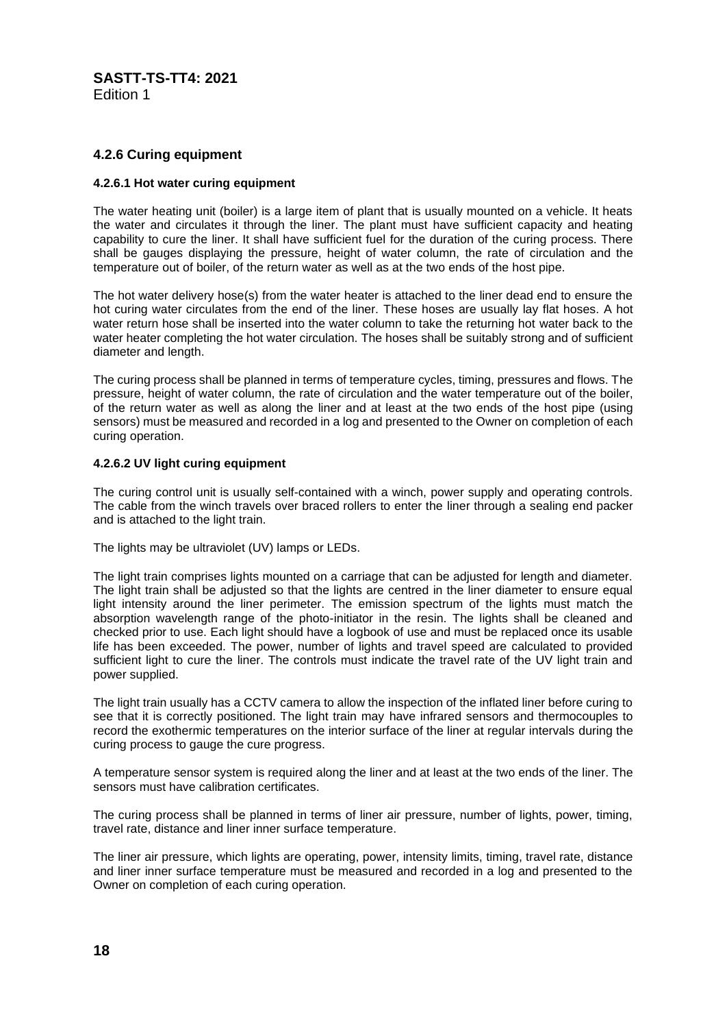**4.2.6 Curing equipment**

## **4.2.6.1 Hot water curing equipment**

The water heating unit (boiler) is a large item of plant that is usually mounted on a vehicle. It heats the water and circulates it through the liner. The plant must have sufficient capacity and heating capability to cure the liner. It shall have sufficient fuel for the duration of the curing process. There shall be gauges displaying the pressure, height of water column, the rate of circulation and the temperature out of boiler, of the return water as well as at the two ends of the host pipe.

The hot water delivery hose(s) from the water heater is attached to the liner dead end to ensure the hot curing water circulates from the end of the liner. These hoses are usually lay flat hoses. A hot water return hose shall be inserted into the water column to take the returning hot water back to the water heater completing the hot water circulation. The hoses shall be suitably strong and of sufficient diameter and length.

The curing process shall be planned in terms of temperature cycles, timing, pressures and flows. The pressure, height of water column, the rate of circulation and the water temperature out of the boiler, of the return water as well as along the liner and at least at the two ends of the host pipe (using sensors) must be measured and recorded in a log and presented to the Owner on completion of each curing operation.

## **4.2.6.2 UV light curing equipment**

The curing control unit is usually self-contained with a winch, power supply and operating controls. The cable from the winch travels over braced rollers to enter the liner through a sealing end packer and is attached to the light train.

The lights may be ultraviolet (UV) lamps or LEDs.

The light train comprises lights mounted on a carriage that can be adjusted for length and diameter. The light train shall be adjusted so that the lights are centred in the liner diameter to ensure equal light intensity around the liner perimeter. The emission spectrum of the lights must match the absorption wavelength range of the photo-initiator in the resin. The lights shall be cleaned and checked prior to use. Each light should have a logbook of use and must be replaced once its usable life has been exceeded. The power, number of lights and travel speed are calculated to provided sufficient light to cure the liner. The controls must indicate the travel rate of the UV light train and power supplied.

The light train usually has a CCTV camera to allow the inspection of the inflated liner before curing to see that it is correctly positioned. The light train may have infrared sensors and thermocouples to record the exothermic temperatures on the interior surface of the liner at regular intervals during the curing process to gauge the cure progress.

A temperature sensor system is required along the liner and at least at the two ends of the liner. The sensors must have calibration certificates.

The curing process shall be planned in terms of liner air pressure, number of lights, power, timing, travel rate, distance and liner inner surface temperature.

The liner air pressure, which lights are operating, power, intensity limits, timing, travel rate, distance and liner inner surface temperature must be measured and recorded in a log and presented to the Owner on completion of each curing operation.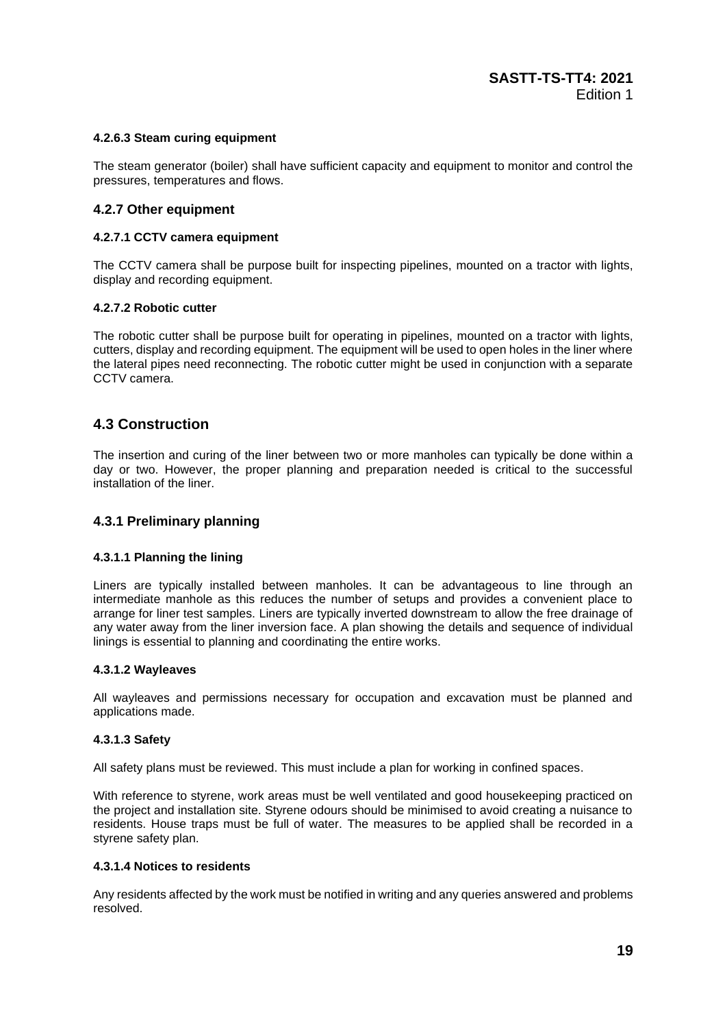## **4.2.6.3 Steam curing equipment**

The steam generator (boiler) shall have sufficient capacity and equipment to monitor and control the pressures, temperatures and flows.

## **4.2.7 Other equipment**

#### **4.2.7.1 CCTV camera equipment**

The CCTV camera shall be purpose built for inspecting pipelines, mounted on a tractor with lights, display and recording equipment.

#### **4.2.7.2 Robotic cutter**

The robotic cutter shall be purpose built for operating in pipelines, mounted on a tractor with lights, cutters, display and recording equipment. The equipment will be used to open holes in the liner where the lateral pipes need reconnecting. The robotic cutter might be used in conjunction with a separate CCTV camera.

# **4.3 Construction**

The insertion and curing of the liner between two or more manholes can typically be done within a day or two. However, the proper planning and preparation needed is critical to the successful installation of the liner.

## **4.3.1 Preliminary planning**

#### **4.3.1.1 Planning the lining**

Liners are typically installed between manholes. It can be advantageous to line through an intermediate manhole as this reduces the number of setups and provides a convenient place to arrange for liner test samples. Liners are typically inverted downstream to allow the free drainage of any water away from the liner inversion face. A plan showing the details and sequence of individual linings is essential to planning and coordinating the entire works.

#### **4.3.1.2 Wayleaves**

All wayleaves and permissions necessary for occupation and excavation must be planned and applications made.

#### **4.3.1.3 Safety**

All safety plans must be reviewed. This must include a plan for working in confined spaces.

With reference to styrene, work areas must be well ventilated and good housekeeping practiced on the project and installation site. Styrene odours should be minimised to avoid creating a nuisance to residents. House traps must be full of water. The measures to be applied shall be recorded in a styrene safety plan.

#### **4.3.1.4 Notices to residents**

Any residents affected by the work must be notified in writing and any queries answered and problems resolved.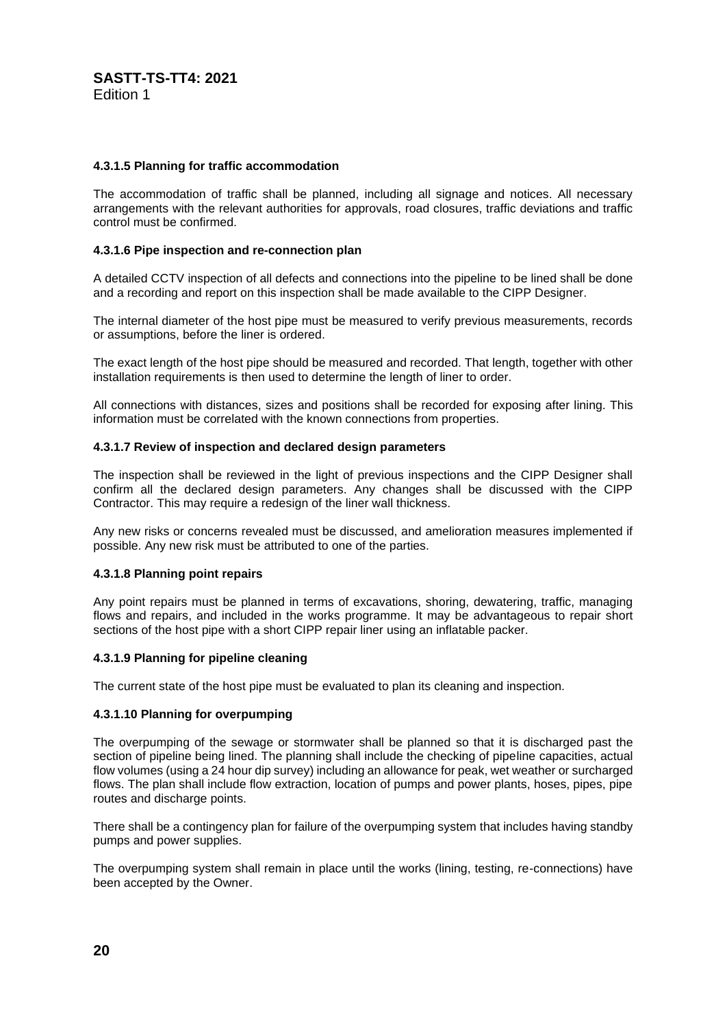# **4.3.1.5 Planning for traffic accommodation**

The accommodation of traffic shall be planned, including all signage and notices. All necessary arrangements with the relevant authorities for approvals, road closures, traffic deviations and traffic control must be confirmed.

## **4.3.1.6 Pipe inspection and re-connection plan**

A detailed CCTV inspection of all defects and connections into the pipeline to be lined shall be done and a recording and report on this inspection shall be made available to the CIPP Designer.

The internal diameter of the host pipe must be measured to verify previous measurements, records or assumptions, before the liner is ordered.

The exact length of the host pipe should be measured and recorded. That length, together with other installation requirements is then used to determine the length of liner to order.

All connections with distances, sizes and positions shall be recorded for exposing after lining. This information must be correlated with the known connections from properties.

#### **4.3.1.7 Review of inspection and declared design parameters**

The inspection shall be reviewed in the light of previous inspections and the CIPP Designer shall confirm all the declared design parameters. Any changes shall be discussed with the CIPP Contractor. This may require a redesign of the liner wall thickness.

Any new risks or concerns revealed must be discussed, and amelioration measures implemented if possible. Any new risk must be attributed to one of the parties.

#### **4.3.1.8 Planning point repairs**

Any point repairs must be planned in terms of excavations, shoring, dewatering, traffic, managing flows and repairs, and included in the works programme. It may be advantageous to repair short sections of the host pipe with a short CIPP repair liner using an inflatable packer.

#### **4.3.1.9 Planning for pipeline cleaning**

The current state of the host pipe must be evaluated to plan its cleaning and inspection.

#### **4.3.1.10 Planning for overpumping**

The overpumping of the sewage or stormwater shall be planned so that it is discharged past the section of pipeline being lined. The planning shall include the checking of pipeline capacities, actual flow volumes (using a 24 hour dip survey) including an allowance for peak, wet weather or surcharged flows. The plan shall include flow extraction, location of pumps and power plants, hoses, pipes, pipe routes and discharge points.

There shall be a contingency plan for failure of the overpumping system that includes having standby pumps and power supplies.

The overpumping system shall remain in place until the works (lining, testing, re-connections) have been accepted by the Owner.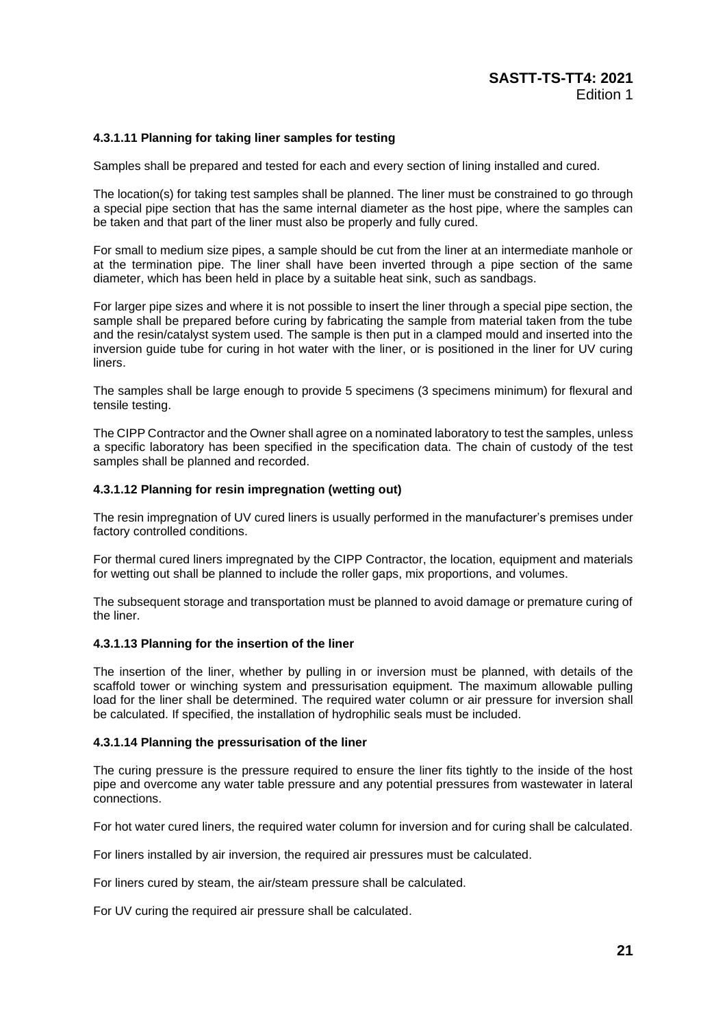#### **4.3.1.11 Planning for taking liner samples for testing**

Samples shall be prepared and tested for each and every section of lining installed and cured.

The location(s) for taking test samples shall be planned. The liner must be constrained to go through a special pipe section that has the same internal diameter as the host pipe, where the samples can be taken and that part of the liner must also be properly and fully cured.

For small to medium size pipes, a sample should be cut from the liner at an intermediate manhole or at the termination pipe. The liner shall have been inverted through a pipe section of the same diameter, which has been held in place by a suitable heat sink, such as sandbags.

For larger pipe sizes and where it is not possible to insert the liner through a special pipe section, the sample shall be prepared before curing by fabricating the sample from material taken from the tube and the resin/catalyst system used. The sample is then put in a clamped mould and inserted into the inversion guide tube for curing in hot water with the liner, or is positioned in the liner for UV curing liners.

The samples shall be large enough to provide 5 specimens (3 specimens minimum) for flexural and tensile testing.

The CIPP Contractor and the Owner shall agree on a nominated laboratory to test the samples, unless a specific laboratory has been specified in the specification data. The chain of custody of the test samples shall be planned and recorded.

#### **4.3.1.12 Planning for resin impregnation (wetting out)**

The resin impregnation of UV cured liners is usually performed in the manufacturer's premises under factory controlled conditions.

For thermal cured liners impregnated by the CIPP Contractor, the location, equipment and materials for wetting out shall be planned to include the roller gaps, mix proportions, and volumes.

The subsequent storage and transportation must be planned to avoid damage or premature curing of the liner.

#### **4.3.1.13 Planning for the insertion of the liner**

The insertion of the liner, whether by pulling in or inversion must be planned, with details of the scaffold tower or winching system and pressurisation equipment. The maximum allowable pulling load for the liner shall be determined. The required water column or air pressure for inversion shall be calculated. If specified, the installation of hydrophilic seals must be included.

#### **4.3.1.14 Planning the pressurisation of the liner**

The curing pressure is the pressure required to ensure the liner fits tightly to the inside of the host pipe and overcome any water table pressure and any potential pressures from wastewater in lateral connections.

For hot water cured liners, the required water column for inversion and for curing shall be calculated.

For liners installed by air inversion, the required air pressures must be calculated.

For liners cured by steam, the air/steam pressure shall be calculated.

For UV curing the required air pressure shall be calculated.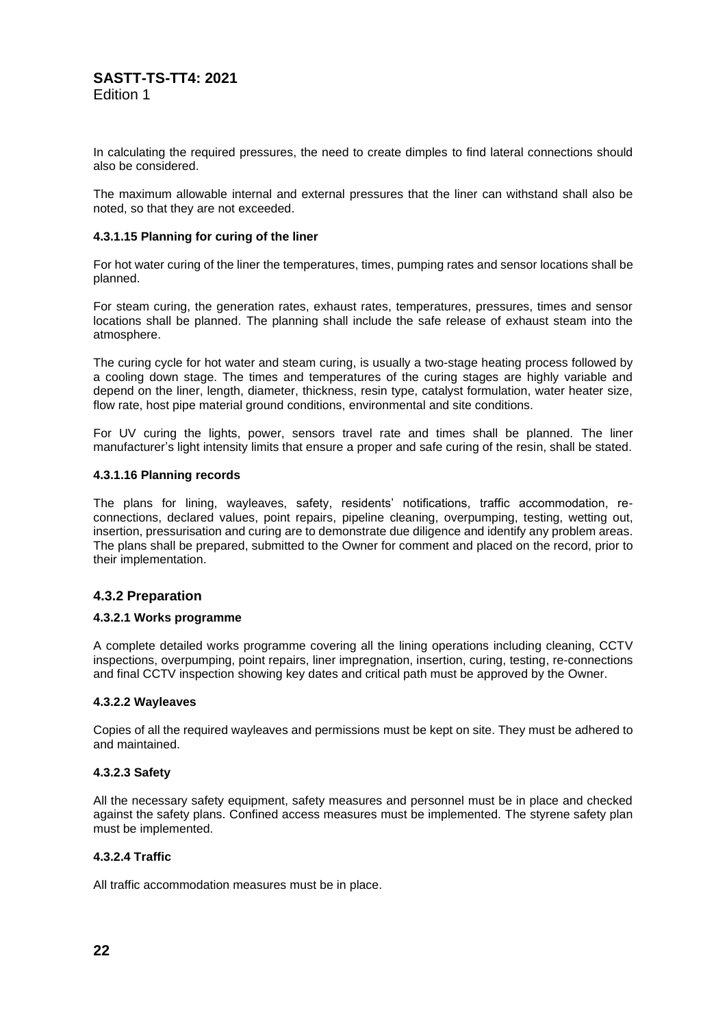In calculating the required pressures, the need to create dimples to find lateral connections should also be considered.

The maximum allowable internal and external pressures that the liner can withstand shall also be noted, so that they are not exceeded.

#### **4.3.1.15 Planning for curing of the liner**

For hot water curing of the liner the temperatures, times, pumping rates and sensor locations shall be planned.

For steam curing, the generation rates, exhaust rates, temperatures, pressures, times and sensor locations shall be planned. The planning shall include the safe release of exhaust steam into the atmosphere.

The curing cycle for hot water and steam curing, is usually a two-stage heating process followed by a cooling down stage. The times and temperatures of the curing stages are highly variable and depend on the liner, length, diameter, thickness, resin type, catalyst formulation, water heater size, flow rate, host pipe material ground conditions, environmental and site conditions.

For UV curing the lights, power, sensors travel rate and times shall be planned. The liner manufacturer's light intensity limits that ensure a proper and safe curing of the resin, shall be stated.

#### **4.3.1.16 Planning records**

The plans for lining, wayleaves, safety, residents' notifications, traffic accommodation, reconnections, declared values, point repairs, pipeline cleaning, overpumping, testing, wetting out, insertion, pressurisation and curing are to demonstrate due diligence and identify any problem areas. The plans shall be prepared, submitted to the Owner for comment and placed on the record, prior to their implementation.

# **4.3.2 Preparation**

#### **4.3.2.1 Works programme**

A complete detailed works programme covering all the lining operations including cleaning, CCTV inspections, overpumping, point repairs, liner impregnation, insertion, curing, testing, re-connections and final CCTV inspection showing key dates and critical path must be approved by the Owner.

#### **4.3.2.2 Wayleaves**

Copies of all the required wayleaves and permissions must be kept on site. They must be adhered to and maintained.

#### **4.3.2.3 Safety**

All the necessary safety equipment, safety measures and personnel must be in place and checked against the safety plans. Confined access measures must be implemented. The styrene safety plan must be implemented.

### **4.3.2.4 Traffic**

All traffic accommodation measures must be in place.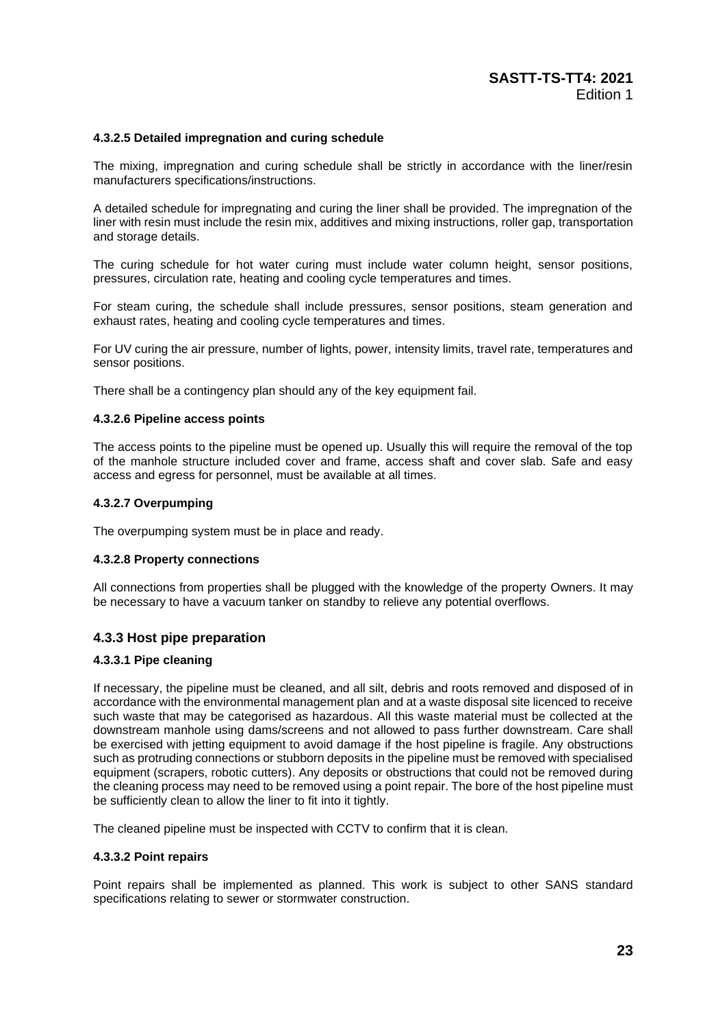#### **4.3.2.5 Detailed impregnation and curing schedule**

The mixing, impregnation and curing schedule shall be strictly in accordance with the liner/resin manufacturers specifications/instructions.

A detailed schedule for impregnating and curing the liner shall be provided. The impregnation of the liner with resin must include the resin mix, additives and mixing instructions, roller gap, transportation and storage details.

The curing schedule for hot water curing must include water column height, sensor positions, pressures, circulation rate, heating and cooling cycle temperatures and times.

For steam curing, the schedule shall include pressures, sensor positions, steam generation and exhaust rates, heating and cooling cycle temperatures and times.

For UV curing the air pressure, number of lights, power, intensity limits, travel rate, temperatures and sensor positions.

There shall be a contingency plan should any of the key equipment fail.

#### **4.3.2.6 Pipeline access points**

The access points to the pipeline must be opened up. Usually this will require the removal of the top of the manhole structure included cover and frame, access shaft and cover slab. Safe and easy access and egress for personnel, must be available at all times.

#### **4.3.2.7 Overpumping**

The overpumping system must be in place and ready.

#### **4.3.2.8 Property connections**

All connections from properties shall be plugged with the knowledge of the property Owners. It may be necessary to have a vacuum tanker on standby to relieve any potential overflows.

# **4.3.3 Host pipe preparation**

## **4.3.3.1 Pipe cleaning**

If necessary, the pipeline must be cleaned, and all silt, debris and roots removed and disposed of in accordance with the environmental management plan and at a waste disposal site licenced to receive such waste that may be categorised as hazardous. All this waste material must be collected at the downstream manhole using dams/screens and not allowed to pass further downstream. Care shall be exercised with jetting equipment to avoid damage if the host pipeline is fragile. Any obstructions such as protruding connections or stubborn deposits in the pipeline must be removed with specialised equipment (scrapers, robotic cutters). Any deposits or obstructions that could not be removed during the cleaning process may need to be removed using a point repair. The bore of the host pipeline must be sufficiently clean to allow the liner to fit into it tightly.

The cleaned pipeline must be inspected with CCTV to confirm that it is clean.

#### **4.3.3.2 Point repairs**

Point repairs shall be implemented as planned. This work is subject to other SANS standard specifications relating to sewer or stormwater construction.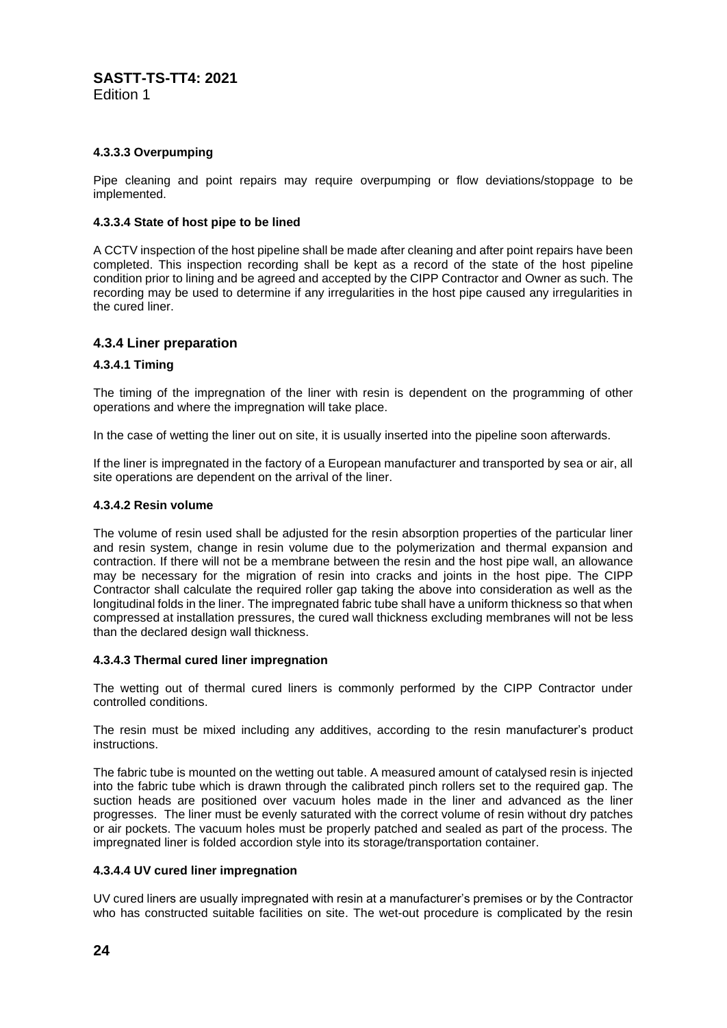# **SASTT-TS-TT4: 2021**

Edition 1

# **4.3.3.3 Overpumping**

Pipe cleaning and point repairs may require overpumping or flow deviations/stoppage to be implemented.

# **4.3.3.4 State of host pipe to be lined**

A CCTV inspection of the host pipeline shall be made after cleaning and after point repairs have been completed. This inspection recording shall be kept as a record of the state of the host pipeline condition prior to lining and be agreed and accepted by the CIPP Contractor and Owner as such. The recording may be used to determine if any irregularities in the host pipe caused any irregularities in the cured liner.

# **4.3.4 Liner preparation**

## **4.3.4.1 Timing**

The timing of the impregnation of the liner with resin is dependent on the programming of other operations and where the impregnation will take place.

In the case of wetting the liner out on site, it is usually inserted into the pipeline soon afterwards.

If the liner is impregnated in the factory of a European manufacturer and transported by sea or air, all site operations are dependent on the arrival of the liner.

## **4.3.4.2 Resin volume**

The volume of resin used shall be adjusted for the resin absorption properties of the particular liner and resin system, change in resin volume due to the polymerization and thermal expansion and contraction. If there will not be a membrane between the resin and the host pipe wall, an allowance may be necessary for the migration of resin into cracks and joints in the host pipe. The CIPP Contractor shall calculate the required roller gap taking the above into consideration as well as the longitudinal folds in the liner. The impregnated fabric tube shall have a uniform thickness so that when compressed at installation pressures, the cured wall thickness excluding membranes will not be less than the declared design wall thickness.

#### **4.3.4.3 Thermal cured liner impregnation**

The wetting out of thermal cured liners is commonly performed by the CIPP Contractor under controlled conditions.

The resin must be mixed including any additives, according to the resin manufacturer's product instructions.

The fabric tube is mounted on the wetting out table. A measured amount of catalysed resin is injected into the fabric tube which is drawn through the calibrated pinch rollers set to the required gap. The suction heads are positioned over vacuum holes made in the liner and advanced as the liner progresses. The liner must be evenly saturated with the correct volume of resin without dry patches or air pockets. The vacuum holes must be properly patched and sealed as part of the process. The impregnated liner is folded accordion style into its storage/transportation container.

# **4.3.4.4 UV cured liner impregnation**

UV cured liners are usually impregnated with resin at a manufacturer's premises or by the Contractor who has constructed suitable facilities on site. The wet-out procedure is complicated by the resin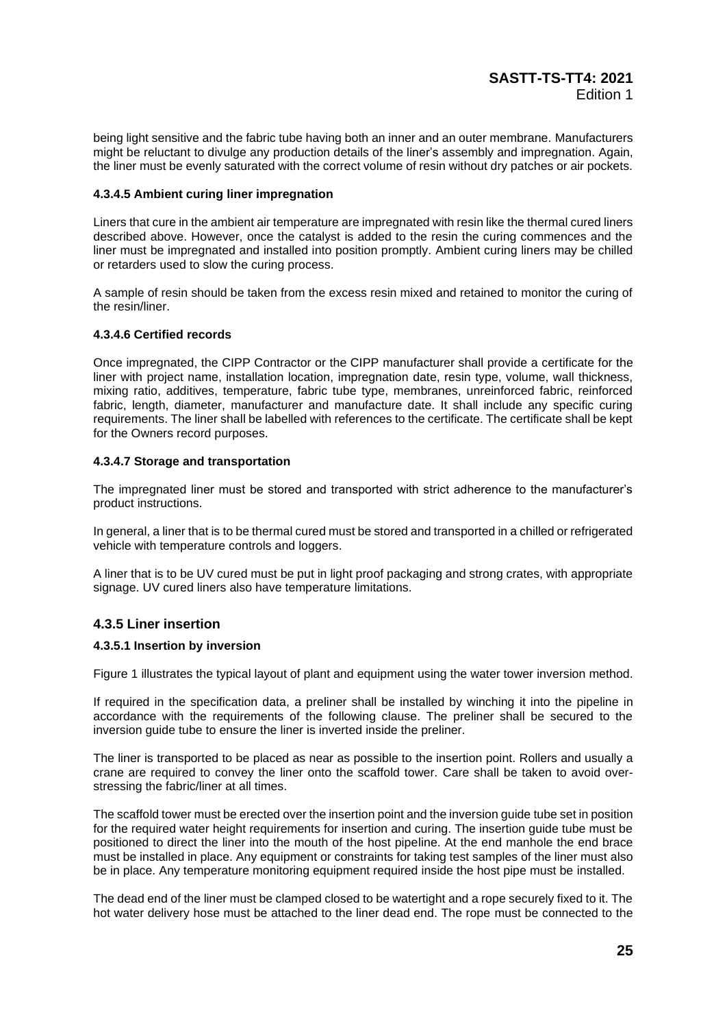being light sensitive and the fabric tube having both an inner and an outer membrane. Manufacturers might be reluctant to divulge any production details of the liner's assembly and impregnation. Again, the liner must be evenly saturated with the correct volume of resin without dry patches or air pockets.

## **4.3.4.5 Ambient curing liner impregnation**

Liners that cure in the ambient air temperature are impregnated with resin like the thermal cured liners described above. However, once the catalyst is added to the resin the curing commences and the liner must be impregnated and installed into position promptly. Ambient curing liners may be chilled or retarders used to slow the curing process.

A sample of resin should be taken from the excess resin mixed and retained to monitor the curing of the resin/liner.

## **4.3.4.6 Certified records**

Once impregnated, the CIPP Contractor or the CIPP manufacturer shall provide a certificate for the liner with project name, installation location, impregnation date, resin type, volume, wall thickness, mixing ratio, additives, temperature, fabric tube type, membranes, unreinforced fabric, reinforced fabric, length, diameter, manufacturer and manufacture date. It shall include any specific curing requirements. The liner shall be labelled with references to the certificate. The certificate shall be kept for the Owners record purposes.

## **4.3.4.7 Storage and transportation**

The impregnated liner must be stored and transported with strict adherence to the manufacturer's product instructions.

In general, a liner that is to be thermal cured must be stored and transported in a chilled or refrigerated vehicle with temperature controls and loggers.

A liner that is to be UV cured must be put in light proof packaging and strong crates, with appropriate signage. UV cured liners also have temperature limitations.

# **4.3.5 Liner insertion**

#### **4.3.5.1 Insertion by inversion**

Figure 1 illustrates the typical layout of plant and equipment using the water tower inversion method.

If required in the specification data, a preliner shall be installed by winching it into the pipeline in accordance with the requirements of the following clause. The preliner shall be secured to the inversion guide tube to ensure the liner is inverted inside the preliner.

The liner is transported to be placed as near as possible to the insertion point. Rollers and usually a crane are required to convey the liner onto the scaffold tower. Care shall be taken to avoid overstressing the fabric/liner at all times.

The scaffold tower must be erected over the insertion point and the inversion guide tube set in position for the required water height requirements for insertion and curing. The insertion guide tube must be positioned to direct the liner into the mouth of the host pipeline. At the end manhole the end brace must be installed in place. Any equipment or constraints for taking test samples of the liner must also be in place. Any temperature monitoring equipment required inside the host pipe must be installed.

The dead end of the liner must be clamped closed to be watertight and a rope securely fixed to it. The hot water delivery hose must be attached to the liner dead end. The rope must be connected to the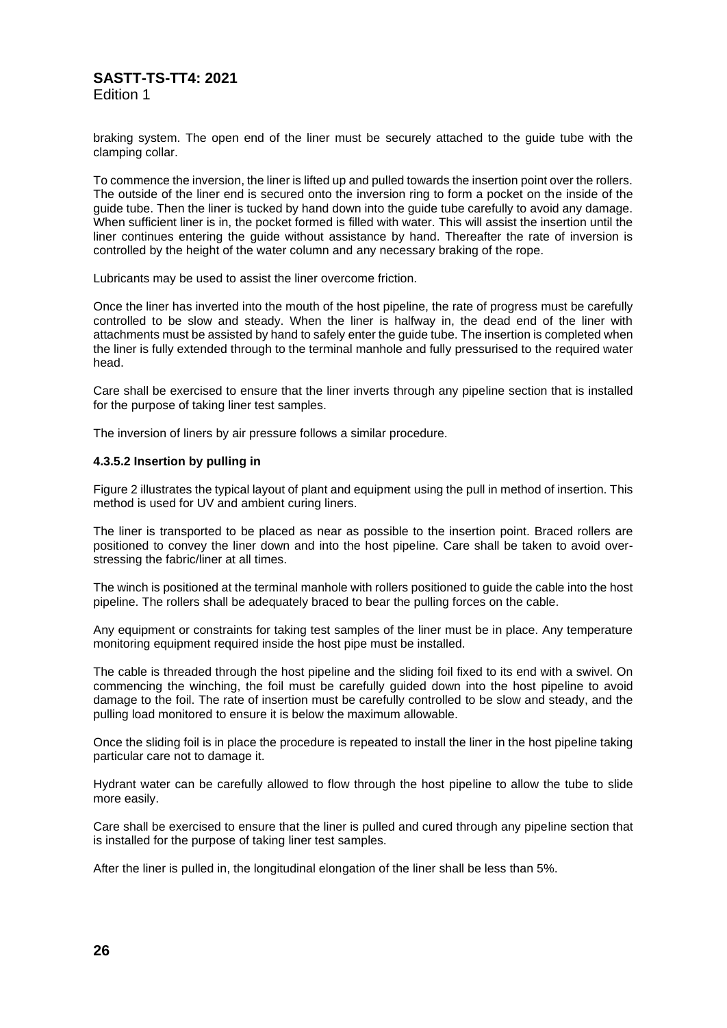braking system. The open end of the liner must be securely attached to the guide tube with the clamping collar.

To commence the inversion, the liner is lifted up and pulled towards the insertion point over the rollers. The outside of the liner end is secured onto the inversion ring to form a pocket on the inside of the guide tube. Then the liner is tucked by hand down into the guide tube carefully to avoid any damage. When sufficient liner is in, the pocket formed is filled with water. This will assist the insertion until the liner continues entering the guide without assistance by hand. Thereafter the rate of inversion is controlled by the height of the water column and any necessary braking of the rope.

Lubricants may be used to assist the liner overcome friction.

Once the liner has inverted into the mouth of the host pipeline, the rate of progress must be carefully controlled to be slow and steady. When the liner is halfway in, the dead end of the liner with attachments must be assisted by hand to safely enter the guide tube. The insertion is completed when the liner is fully extended through to the terminal manhole and fully pressurised to the required water head.

Care shall be exercised to ensure that the liner inverts through any pipeline section that is installed for the purpose of taking liner test samples.

The inversion of liners by air pressure follows a similar procedure.

#### **4.3.5.2 Insertion by pulling in**

Figure 2 illustrates the typical layout of plant and equipment using the pull in method of insertion. This method is used for UV and ambient curing liners.

The liner is transported to be placed as near as possible to the insertion point. Braced rollers are positioned to convey the liner down and into the host pipeline. Care shall be taken to avoid overstressing the fabric/liner at all times.

The winch is positioned at the terminal manhole with rollers positioned to guide the cable into the host pipeline. The rollers shall be adequately braced to bear the pulling forces on the cable.

Any equipment or constraints for taking test samples of the liner must be in place. Any temperature monitoring equipment required inside the host pipe must be installed.

The cable is threaded through the host pipeline and the sliding foil fixed to its end with a swivel. On commencing the winching, the foil must be carefully guided down into the host pipeline to avoid damage to the foil. The rate of insertion must be carefully controlled to be slow and steady, and the pulling load monitored to ensure it is below the maximum allowable.

Once the sliding foil is in place the procedure is repeated to install the liner in the host pipeline taking particular care not to damage it.

Hydrant water can be carefully allowed to flow through the host pipeline to allow the tube to slide more easily.

Care shall be exercised to ensure that the liner is pulled and cured through any pipeline section that is installed for the purpose of taking liner test samples.

After the liner is pulled in, the longitudinal elongation of the liner shall be less than 5%.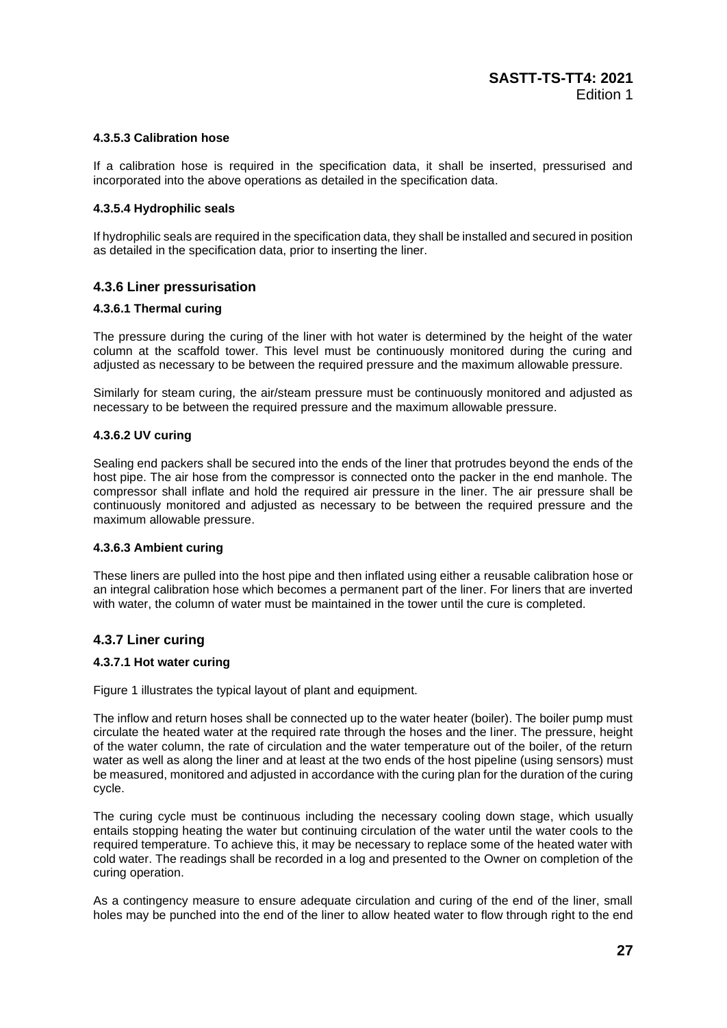#### **4.3.5.3 Calibration hose**

If a calibration hose is required in the specification data, it shall be inserted, pressurised and incorporated into the above operations as detailed in the specification data.

#### **4.3.5.4 Hydrophilic seals**

If hydrophilic seals are required in the specification data, they shall be installed and secured in position as detailed in the specification data, prior to inserting the liner.

# **4.3.6 Liner pressurisation**

#### **4.3.6.1 Thermal curing**

The pressure during the curing of the liner with hot water is determined by the height of the water column at the scaffold tower. This level must be continuously monitored during the curing and adjusted as necessary to be between the required pressure and the maximum allowable pressure.

Similarly for steam curing, the air/steam pressure must be continuously monitored and adjusted as necessary to be between the required pressure and the maximum allowable pressure.

#### **4.3.6.2 UV curing**

Sealing end packers shall be secured into the ends of the liner that protrudes beyond the ends of the host pipe. The air hose from the compressor is connected onto the packer in the end manhole. The compressor shall inflate and hold the required air pressure in the liner. The air pressure shall be continuously monitored and adjusted as necessary to be between the required pressure and the maximum allowable pressure.

#### **4.3.6.3 Ambient curing**

These liners are pulled into the host pipe and then inflated using either a reusable calibration hose or an integral calibration hose which becomes a permanent part of the liner. For liners that are inverted with water, the column of water must be maintained in the tower until the cure is completed.

# **4.3.7 Liner curing**

## **4.3.7.1 Hot water curing**

Figure 1 illustrates the typical layout of plant and equipment.

The inflow and return hoses shall be connected up to the water heater (boiler). The boiler pump must circulate the heated water at the required rate through the hoses and the liner. The pressure, height of the water column, the rate of circulation and the water temperature out of the boiler, of the return water as well as along the liner and at least at the two ends of the host pipeline (using sensors) must be measured, monitored and adjusted in accordance with the curing plan for the duration of the curing cycle.

The curing cycle must be continuous including the necessary cooling down stage, which usually entails stopping heating the water but continuing circulation of the water until the water cools to the required temperature. To achieve this, it may be necessary to replace some of the heated water with cold water. The readings shall be recorded in a log and presented to the Owner on completion of the curing operation.

As a contingency measure to ensure adequate circulation and curing of the end of the liner, small holes may be punched into the end of the liner to allow heated water to flow through right to the end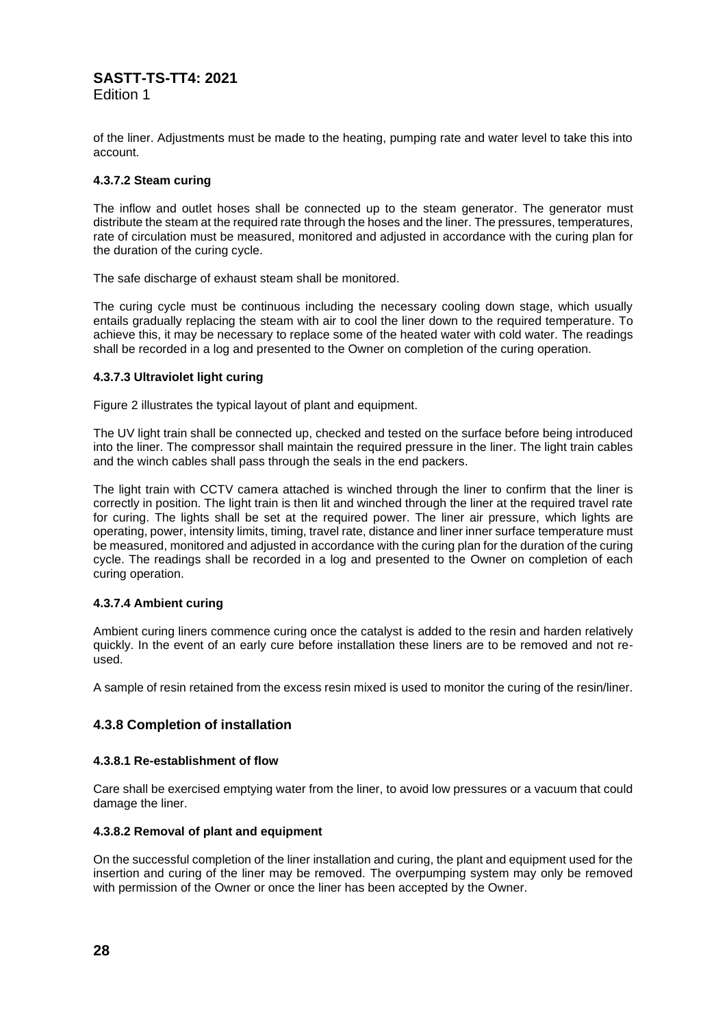# **SASTT-TS-TT4: 2021**

Edition 1

of the liner. Adjustments must be made to the heating, pumping rate and water level to take this into account.

# **4.3.7.2 Steam curing**

The inflow and outlet hoses shall be connected up to the steam generator. The generator must distribute the steam at the required rate through the hoses and the liner. The pressures, temperatures, rate of circulation must be measured, monitored and adjusted in accordance with the curing plan for the duration of the curing cycle.

The safe discharge of exhaust steam shall be monitored.

The curing cycle must be continuous including the necessary cooling down stage, which usually entails gradually replacing the steam with air to cool the liner down to the required temperature. To achieve this, it may be necessary to replace some of the heated water with cold water. The readings shall be recorded in a log and presented to the Owner on completion of the curing operation.

# **4.3.7.3 Ultraviolet light curing**

Figure 2 illustrates the typical layout of plant and equipment.

The UV light train shall be connected up, checked and tested on the surface before being introduced into the liner. The compressor shall maintain the required pressure in the liner. The light train cables and the winch cables shall pass through the seals in the end packers.

The light train with CCTV camera attached is winched through the liner to confirm that the liner is correctly in position. The light train is then lit and winched through the liner at the required travel rate for curing. The lights shall be set at the required power. The liner air pressure, which lights are operating, power, intensity limits, timing, travel rate, distance and liner inner surface temperature must be measured, monitored and adjusted in accordance with the curing plan for the duration of the curing cycle. The readings shall be recorded in a log and presented to the Owner on completion of each curing operation.

#### **4.3.7.4 Ambient curing**

Ambient curing liners commence curing once the catalyst is added to the resin and harden relatively quickly. In the event of an early cure before installation these liners are to be removed and not reused.

A sample of resin retained from the excess resin mixed is used to monitor the curing of the resin/liner.

# **4.3.8 Completion of installation**

# **4.3.8.1 Re-establishment of flow**

Care shall be exercised emptying water from the liner, to avoid low pressures or a vacuum that could damage the liner.

# **4.3.8.2 Removal of plant and equipment**

On the successful completion of the liner installation and curing, the plant and equipment used for the insertion and curing of the liner may be removed. The overpumping system may only be removed with permission of the Owner or once the liner has been accepted by the Owner.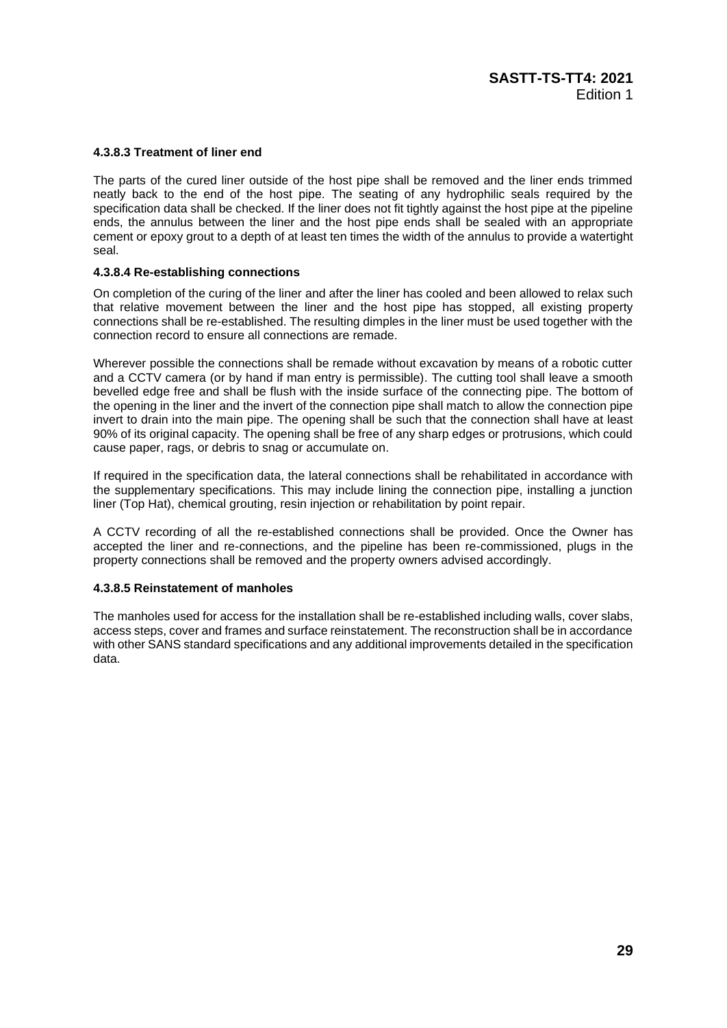## **4.3.8.3 Treatment of liner end**

The parts of the cured liner outside of the host pipe shall be removed and the liner ends trimmed neatly back to the end of the host pipe. The seating of any hydrophilic seals required by the specification data shall be checked. If the liner does not fit tightly against the host pipe at the pipeline ends, the annulus between the liner and the host pipe ends shall be sealed with an appropriate cement or epoxy grout to a depth of at least ten times the width of the annulus to provide a watertight seal.

## **4.3.8.4 Re-establishing connections**

On completion of the curing of the liner and after the liner has cooled and been allowed to relax such that relative movement between the liner and the host pipe has stopped, all existing property connections shall be re-established. The resulting dimples in the liner must be used together with the connection record to ensure all connections are remade.

Wherever possible the connections shall be remade without excavation by means of a robotic cutter and a CCTV camera (or by hand if man entry is permissible). The cutting tool shall leave a smooth bevelled edge free and shall be flush with the inside surface of the connecting pipe. The bottom of the opening in the liner and the invert of the connection pipe shall match to allow the connection pipe invert to drain into the main pipe. The opening shall be such that the connection shall have at least 90% of its original capacity. The opening shall be free of any sharp edges or protrusions, which could cause paper, rags, or debris to snag or accumulate on.

If required in the specification data, the lateral connections shall be rehabilitated in accordance with the supplementary specifications. This may include lining the connection pipe, installing a junction liner (Top Hat), chemical grouting, resin injection or rehabilitation by point repair.

A CCTV recording of all the re-established connections shall be provided. Once the Owner has accepted the liner and re-connections, and the pipeline has been re-commissioned, plugs in the property connections shall be removed and the property owners advised accordingly.

#### **4.3.8.5 Reinstatement of manholes**

The manholes used for access for the installation shall be re-established including walls, cover slabs, access steps, cover and frames and surface reinstatement. The reconstruction shall be in accordance with other SANS standard specifications and any additional improvements detailed in the specification data.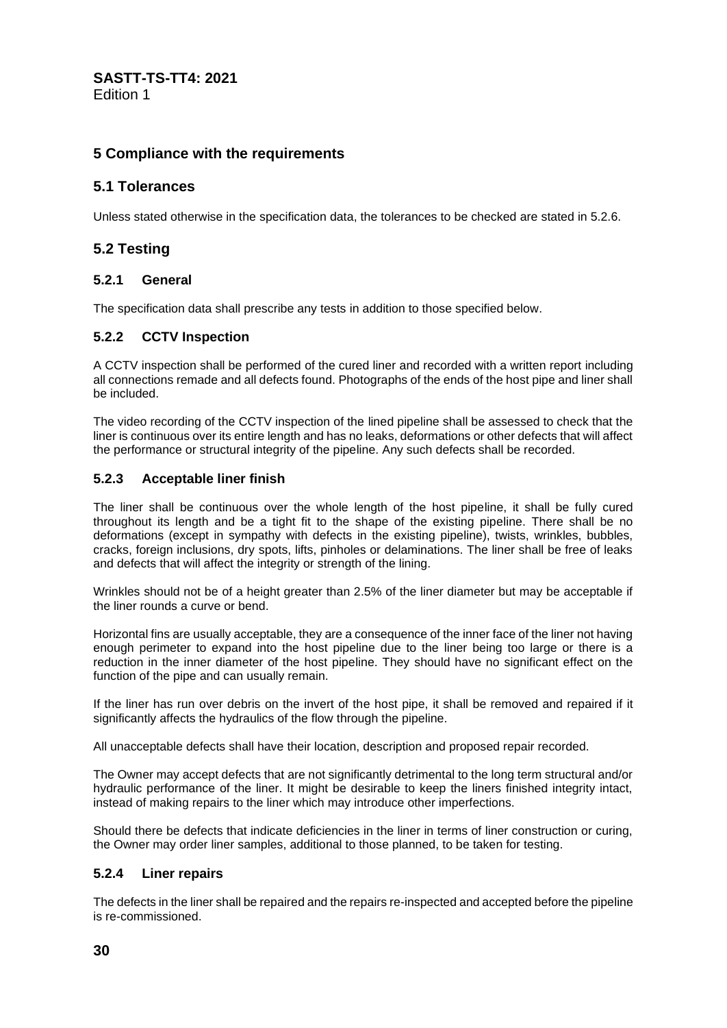# **SASTT-TS-TT4: 2021**

Edition 1

# **5 Compliance with the requirements**

# **5.1 Tolerances**

Unless stated otherwise in the specification data, the tolerances to be checked are stated in 5.2.6.

# **5.2 Testing**

# **5.2.1 General**

The specification data shall prescribe any tests in addition to those specified below.

# **5.2.2 CCTV Inspection**

A CCTV inspection shall be performed of the cured liner and recorded with a written report including all connections remade and all defects found. Photographs of the ends of the host pipe and liner shall be included.

The video recording of the CCTV inspection of the lined pipeline shall be assessed to check that the liner is continuous over its entire length and has no leaks, deformations or other defects that will affect the performance or structural integrity of the pipeline. Any such defects shall be recorded.

# **5.2.3 Acceptable liner finish**

The liner shall be continuous over the whole length of the host pipeline, it shall be fully cured throughout its length and be a tight fit to the shape of the existing pipeline. There shall be no deformations (except in sympathy with defects in the existing pipeline), twists, wrinkles, bubbles, cracks, foreign inclusions, dry spots, lifts, pinholes or delaminations. The liner shall be free of leaks and defects that will affect the integrity or strength of the lining.

Wrinkles should not be of a height greater than 2.5% of the liner diameter but may be acceptable if the liner rounds a curve or bend.

Horizontal fins are usually acceptable, they are a consequence of the inner face of the liner not having enough perimeter to expand into the host pipeline due to the liner being too large or there is a reduction in the inner diameter of the host pipeline. They should have no significant effect on the function of the pipe and can usually remain.

If the liner has run over debris on the invert of the host pipe, it shall be removed and repaired if it significantly affects the hydraulics of the flow through the pipeline.

All unacceptable defects shall have their location, description and proposed repair recorded.

The Owner may accept defects that are not significantly detrimental to the long term structural and/or hydraulic performance of the liner. It might be desirable to keep the liners finished integrity intact, instead of making repairs to the liner which may introduce other imperfections.

Should there be defects that indicate deficiencies in the liner in terms of liner construction or curing, the Owner may order liner samples, additional to those planned, to be taken for testing.

# **5.2.4 Liner repairs**

The defects in the liner shall be repaired and the repairs re-inspected and accepted before the pipeline is re-commissioned.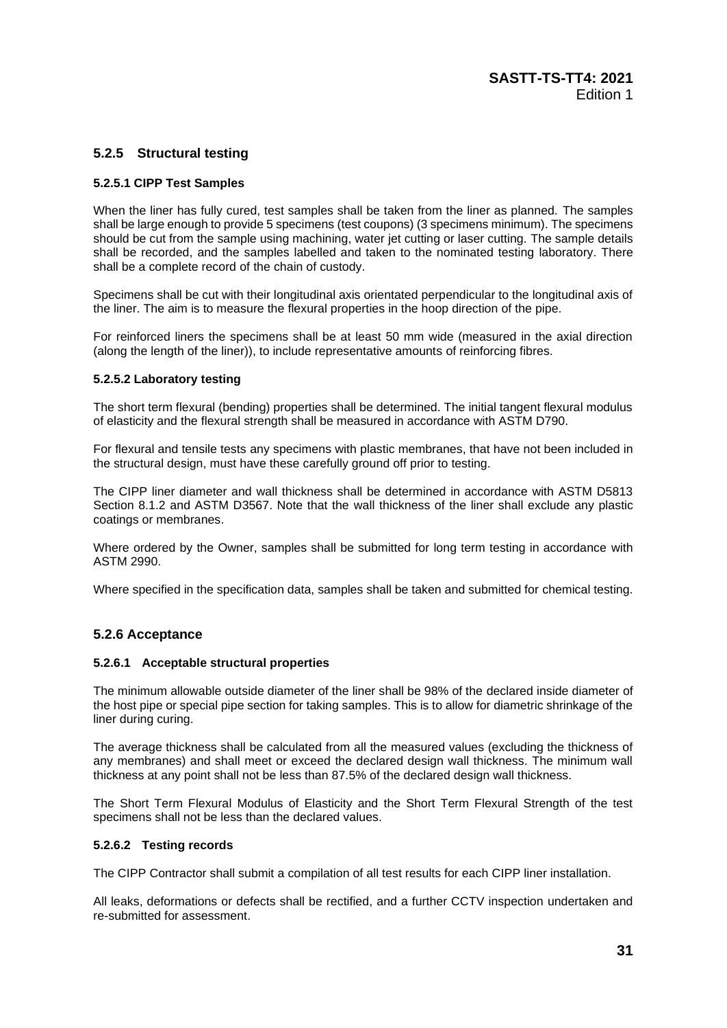# **5.2.5 Structural testing**

## **5.2.5.1 CIPP Test Samples**

When the liner has fully cured, test samples shall be taken from the liner as planned. The samples shall be large enough to provide 5 specimens (test coupons) (3 specimens minimum). The specimens should be cut from the sample using machining, water jet cutting or laser cutting. The sample details shall be recorded, and the samples labelled and taken to the nominated testing laboratory. There shall be a complete record of the chain of custody.

Specimens shall be cut with their longitudinal axis orientated perpendicular to the longitudinal axis of the liner. The aim is to measure the flexural properties in the hoop direction of the pipe.

For reinforced liners the specimens shall be at least 50 mm wide (measured in the axial direction (along the length of the liner)), to include representative amounts of reinforcing fibres.

#### **5.2.5.2 Laboratory testing**

The short term flexural (bending) properties shall be determined. The initial tangent flexural modulus of elasticity and the flexural strength shall be measured in accordance with ASTM D790.

For flexural and tensile tests any specimens with plastic membranes, that have not been included in the structural design, must have these carefully ground off prior to testing.

The CIPP liner diameter and wall thickness shall be determined in accordance with ASTM D5813 Section 8.1.2 and ASTM D3567. Note that the wall thickness of the liner shall exclude any plastic coatings or membranes.

Where ordered by the Owner, samples shall be submitted for long term testing in accordance with ASTM 2990.

Where specified in the specification data, samples shall be taken and submitted for chemical testing.

# **5.2.6 Acceptance**

#### **5.2.6.1 Acceptable structural properties**

The minimum allowable outside diameter of the liner shall be 98% of the declared inside diameter of the host pipe or special pipe section for taking samples. This is to allow for diametric shrinkage of the liner during curing.

The average thickness shall be calculated from all the measured values (excluding the thickness of any membranes) and shall meet or exceed the declared design wall thickness. The minimum wall thickness at any point shall not be less than 87.5% of the declared design wall thickness.

The Short Term Flexural Modulus of Elasticity and the Short Term Flexural Strength of the test specimens shall not be less than the declared values.

#### **5.2.6.2 Testing records**

The CIPP Contractor shall submit a compilation of all test results for each CIPP liner installation.

All leaks, deformations or defects shall be rectified, and a further CCTV inspection undertaken and re-submitted for assessment.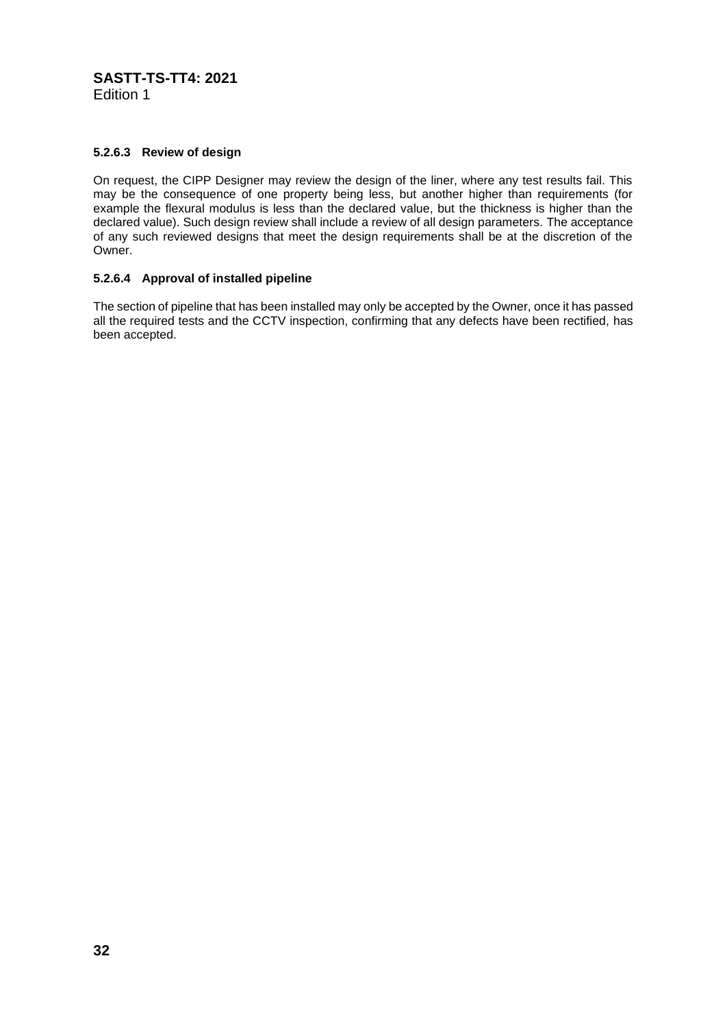# **5.2.6.3 Review of design**

On request, the CIPP Designer may review the design of the liner, where any test results fail. This may be the consequence of one property being less, but another higher than requirements (for example the flexural modulus is less than the declared value, but the thickness is higher than the declared value). Such design review shall include a review of all design parameters. The acceptance of any such reviewed designs that meet the design requirements shall be at the discretion of the Owner.

# **5.2.6.4 Approval of installed pipeline**

The section of pipeline that has been installed may only be accepted by the Owner, once it has passed all the required tests and the CCTV inspection, confirming that any defects have been rectified, has been accepted.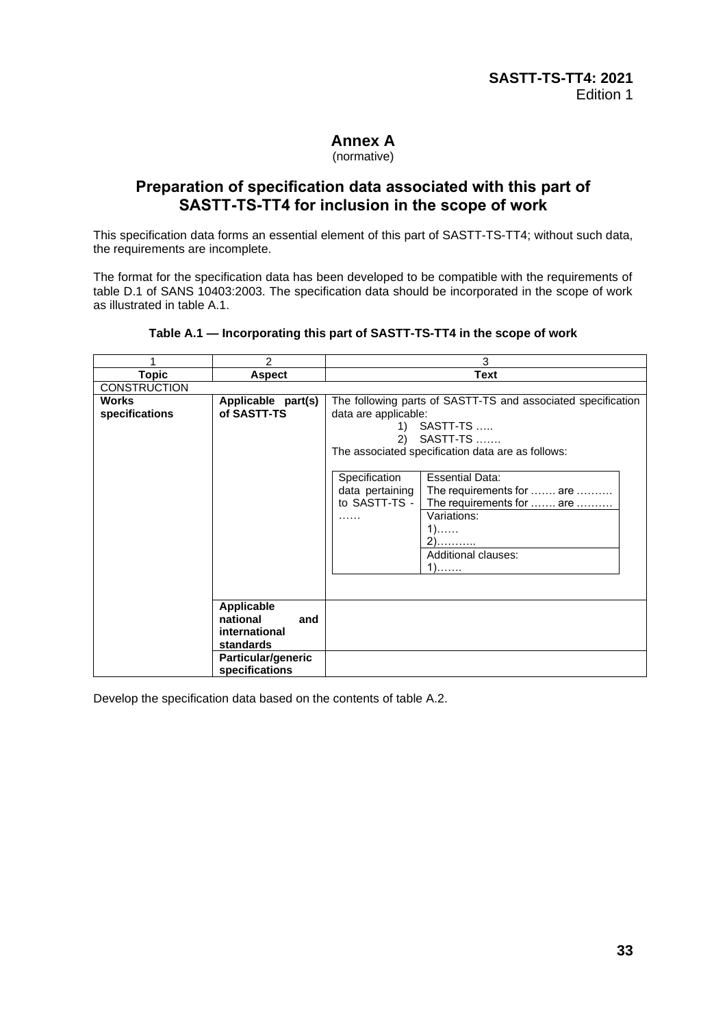# **Annex A**

(normative)

# **Preparation of specification data associated with this part of SASTT-TS-TT4 for inclusion in the scope of work**

This specification data forms an essential element of this part of SASTT-TS-TT4; without such data, the requirements are incomplete.

The format for the specification data has been developed to be compatible with the requirements of table D.1 of SANS 10403:2003. The specification data should be incorporated in the scope of work as illustrated in table A.1.

|                                | 2                                                                  | 3                                                                                                                                                                                                                                                                                                                                                                                                            |  |  |
|--------------------------------|--------------------------------------------------------------------|--------------------------------------------------------------------------------------------------------------------------------------------------------------------------------------------------------------------------------------------------------------------------------------------------------------------------------------------------------------------------------------------------------------|--|--|
| Topic                          | <b>Aspect</b>                                                      | <b>Text</b>                                                                                                                                                                                                                                                                                                                                                                                                  |  |  |
| <b>CONSTRUCTION</b>            |                                                                    |                                                                                                                                                                                                                                                                                                                                                                                                              |  |  |
| <b>Works</b><br>specifications | Applicable part(s)<br>of SASTT-TS                                  | The following parts of SASTT-TS and associated specification<br>data are applicable:<br>$1)$ SASTT-TS<br>SASTT-TS<br>$\mathbf{2}$<br>The associated specification data are as follows:<br>Specification<br><b>Essential Data:</b><br>data pertaining<br>The requirements for  are<br>to SASTT-TS - I<br>The requirements for  are<br>Variations:<br>.<br>$1)$<br>$2)$ <u></u><br>Additional clauses:<br>$1)$ |  |  |
|                                | Applicable<br>national<br>and<br>international<br><b>standards</b> |                                                                                                                                                                                                                                                                                                                                                                                                              |  |  |
|                                | Particular/generic<br>specifications                               |                                                                                                                                                                                                                                                                                                                                                                                                              |  |  |

## **Table A.1 — Incorporating this part of SASTT-TS-TT4 in the scope of work**

Develop the specification data based on the contents of table A.2.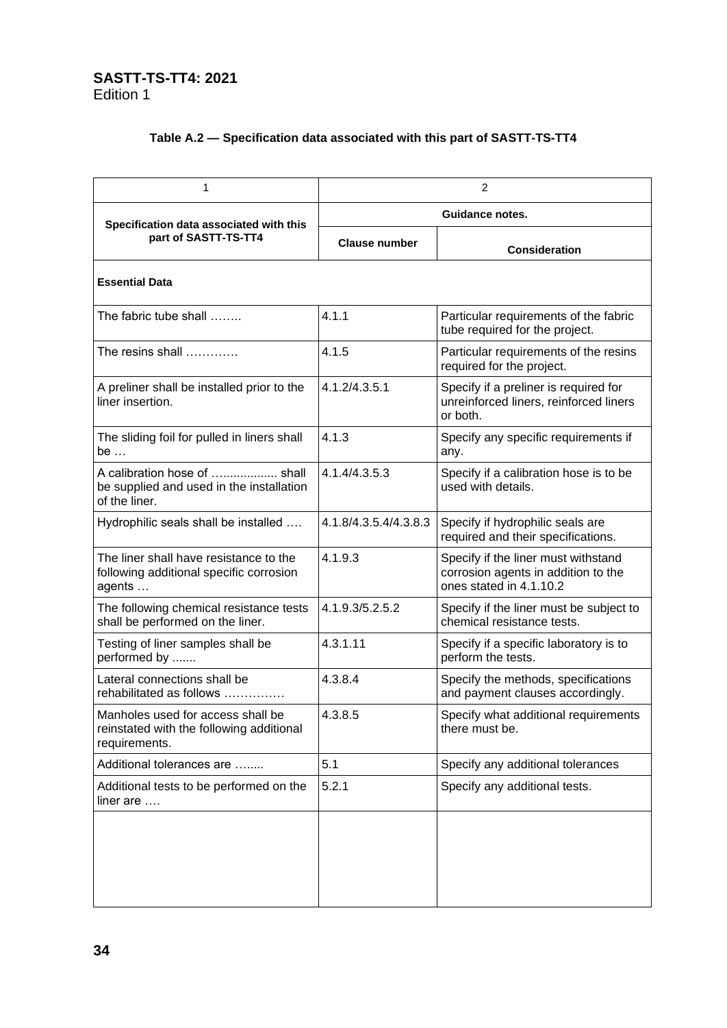|  |  | Table A.2 - Specification data associated with this part of SASTT-TS-TT4 |  |  |
|--|--|--------------------------------------------------------------------------|--|--|
|--|--|--------------------------------------------------------------------------|--|--|

| 1                                                                                              | 2                     |                                                                                                       |  |
|------------------------------------------------------------------------------------------------|-----------------------|-------------------------------------------------------------------------------------------------------|--|
| Specification data associated with this                                                        | Guidance notes.       |                                                                                                       |  |
| part of SASTT-TS-TT4                                                                           | <b>Clause number</b>  | <b>Consideration</b>                                                                                  |  |
| <b>Essential Data</b>                                                                          |                       |                                                                                                       |  |
| The fabric tube shall $\ldots$                                                                 | 4.1.1                 | Particular requirements of the fabric<br>tube required for the project.                               |  |
| The resins shall $\ldots$                                                                      | 4.1.5                 | Particular requirements of the resins<br>required for the project.                                    |  |
| A preliner shall be installed prior to the<br>liner insertion.                                 | 4.1.2/4.3.5.1         | Specify if a preliner is required for<br>unreinforced liners, reinforced liners<br>or both.           |  |
| The sliding foil for pulled in liners shall<br>be …                                            | 4.1.3                 | Specify any specific requirements if<br>any.                                                          |  |
| A calibration hose of  shall<br>be supplied and used in the installation<br>of the liner.      | 4.1.4/4.3.5.3         | Specify if a calibration hose is to be<br>used with details.                                          |  |
| Hydrophilic seals shall be installed                                                           | 4.1.8/4.3.5.4/4.3.8.3 | Specify if hydrophilic seals are<br>required and their specifications.                                |  |
| The liner shall have resistance to the<br>following additional specific corrosion<br>agents    | 4.1.9.3               | Specify if the liner must withstand<br>corrosion agents in addition to the<br>ones stated in 4.1.10.2 |  |
| The following chemical resistance tests<br>shall be performed on the liner.                    | 4.1.9.3/5.2.5.2       | Specify if the liner must be subject to<br>chemical resistance tests.                                 |  |
| Testing of liner samples shall be<br>performed by                                              | 4.3.1.11              | Specify if a specific laboratory is to<br>perform the tests.                                          |  |
| Lateral connections shall be<br>rehabilitated as follows                                       | 4.3.8.4               | Specify the methods, specifications<br>and payment clauses accordingly.                               |  |
| Manholes used for access shall be<br>reinstated with the following additional<br>requirements. | 4.3.8.5               | Specify what additional requirements<br>there must be.                                                |  |
| Additional tolerances are                                                                      | 5.1                   | Specify any additional tolerances                                                                     |  |
| Additional tests to be performed on the<br>liner are $\dots$                                   | 5.2.1                 | Specify any additional tests.                                                                         |  |
|                                                                                                |                       |                                                                                                       |  |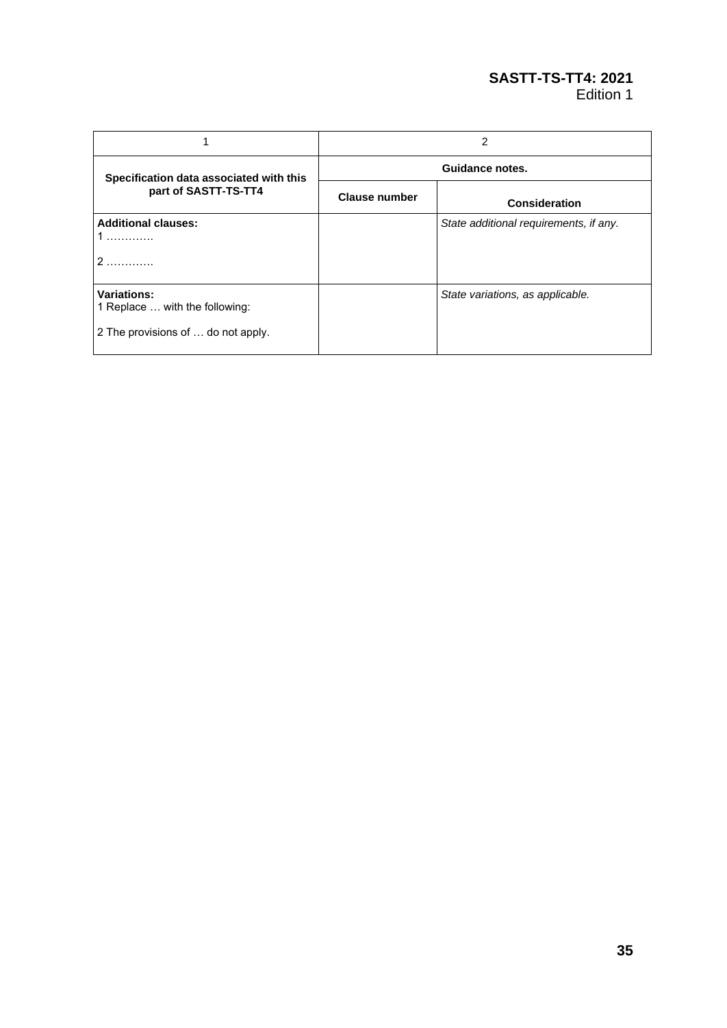|                                                                                            | 2                    |                                        |  |
|--------------------------------------------------------------------------------------------|----------------------|----------------------------------------|--|
| Specification data associated with this                                                    | Guidance notes.      |                                        |  |
| part of SASTT-TS-TT4                                                                       | <b>Clause number</b> | Consideration                          |  |
| <b>Additional clauses:</b><br>.<br>.                                                       |                      | State additional requirements, if any. |  |
| <b>Variations:</b><br>1 Replace  with the following:<br>2 The provisions of  do not apply. |                      | State variations, as applicable.       |  |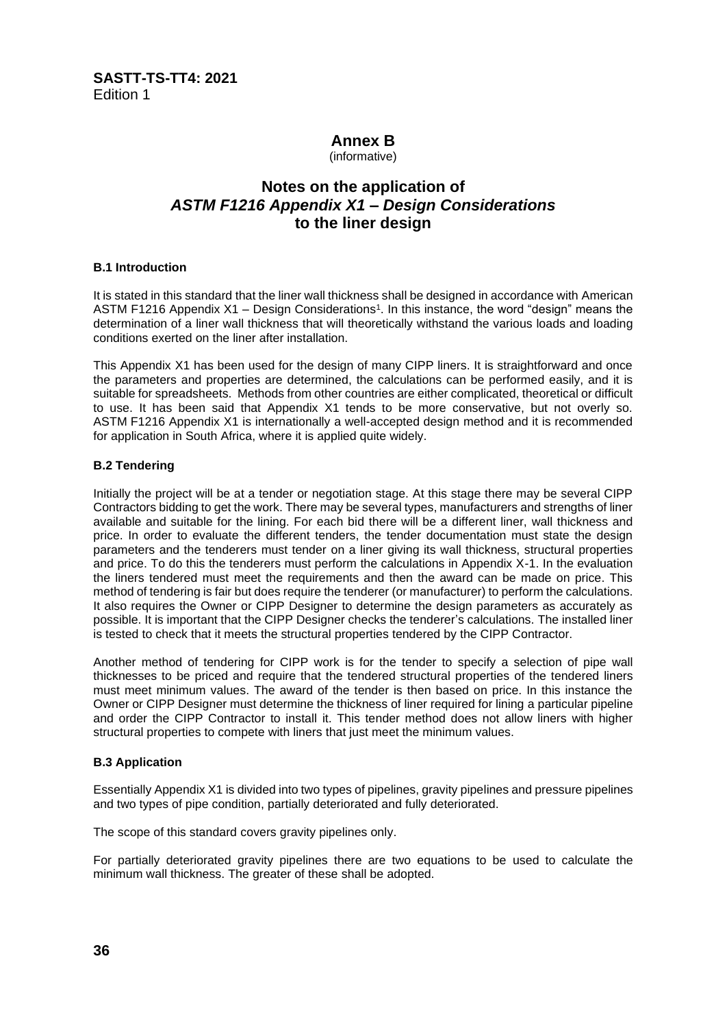# **Annex B**

(informative)

# **Notes on the application of**  *ASTM F1216 Appendix X1 – Design Considerations* **to the liner design**

## **B.1 Introduction**

It is stated in this standard that the liner wall thickness shall be designed in accordance with American ASTM F1216 Appendix X1 – Design Considerations<sup>1</sup>. In this instance, the word "design" means the determination of a liner wall thickness that will theoretically withstand the various loads and loading conditions exerted on the liner after installation.

This Appendix X1 has been used for the design of many CIPP liners. It is straightforward and once the parameters and properties are determined, the calculations can be performed easily, and it is suitable for spreadsheets. Methods from other countries are either complicated, theoretical or difficult to use. It has been said that Appendix X1 tends to be more conservative, but not overly so. ASTM F1216 Appendix X1 is internationally a well-accepted design method and it is recommended for application in South Africa, where it is applied quite widely.

# **B.2 Tendering**

Initially the project will be at a tender or negotiation stage. At this stage there may be several CIPP Contractors bidding to get the work. There may be several types, manufacturers and strengths of liner available and suitable for the lining. For each bid there will be a different liner, wall thickness and price. In order to evaluate the different tenders, the tender documentation must state the design parameters and the tenderers must tender on a liner giving its wall thickness, structural properties and price. To do this the tenderers must perform the calculations in Appendix X-1. In the evaluation the liners tendered must meet the requirements and then the award can be made on price. This method of tendering is fair but does require the tenderer (or manufacturer) to perform the calculations. It also requires the Owner or CIPP Designer to determine the design parameters as accurately as possible. It is important that the CIPP Designer checks the tenderer's calculations. The installed liner is tested to check that it meets the structural properties tendered by the CIPP Contractor.

Another method of tendering for CIPP work is for the tender to specify a selection of pipe wall thicknesses to be priced and require that the tendered structural properties of the tendered liners must meet minimum values. The award of the tender is then based on price. In this instance the Owner or CIPP Designer must determine the thickness of liner required for lining a particular pipeline and order the CIPP Contractor to install it. This tender method does not allow liners with higher structural properties to compete with liners that just meet the minimum values.

# **B.3 Application**

Essentially Appendix X1 is divided into two types of pipelines, gravity pipelines and pressure pipelines and two types of pipe condition, partially deteriorated and fully deteriorated.

The scope of this standard covers gravity pipelines only.

For partially deteriorated gravity pipelines there are two equations to be used to calculate the minimum wall thickness. The greater of these shall be adopted.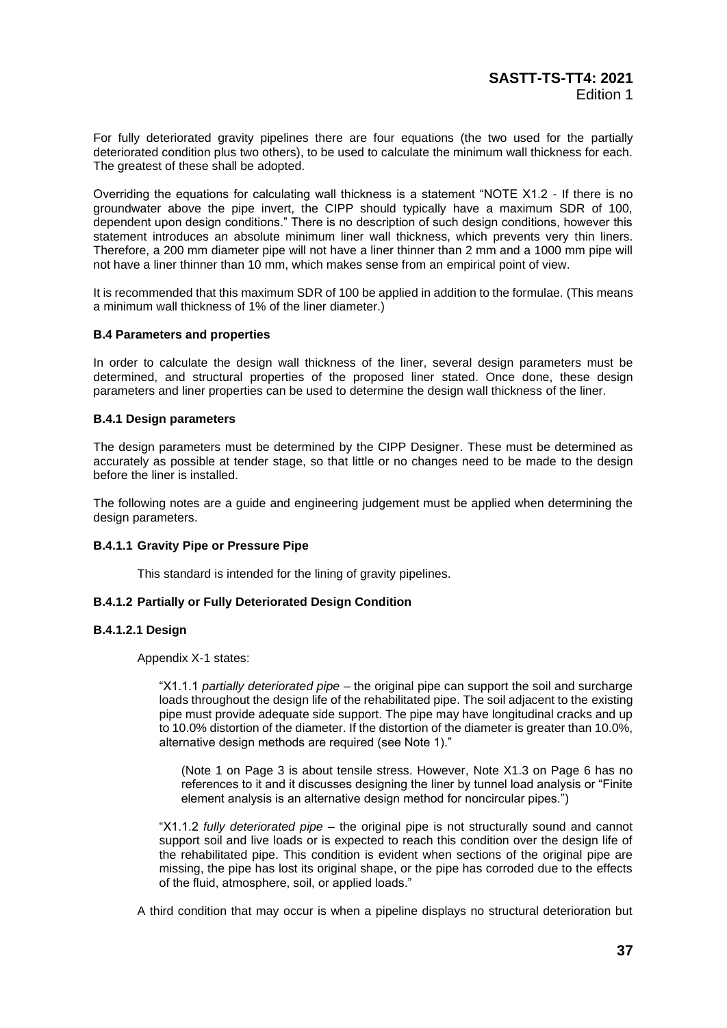For fully deteriorated gravity pipelines there are four equations (the two used for the partially deteriorated condition plus two others), to be used to calculate the minimum wall thickness for each. The greatest of these shall be adopted.

Overriding the equations for calculating wall thickness is a statement "NOTE X1.2 - If there is no groundwater above the pipe invert, the CIPP should typically have a maximum SDR of 100, dependent upon design conditions." There is no description of such design conditions, however this statement introduces an absolute minimum liner wall thickness, which prevents very thin liners. Therefore, a 200 mm diameter pipe will not have a liner thinner than 2 mm and a 1000 mm pipe will not have a liner thinner than 10 mm, which makes sense from an empirical point of view.

It is recommended that this maximum SDR of 100 be applied in addition to the formulae. (This means a minimum wall thickness of 1% of the liner diameter.)

## **B.4 Parameters and properties**

In order to calculate the design wall thickness of the liner, several design parameters must be determined, and structural properties of the proposed liner stated. Once done, these design parameters and liner properties can be used to determine the design wall thickness of the liner.

#### **B.4.1 Design parameters**

The design parameters must be determined by the CIPP Designer. These must be determined as accurately as possible at tender stage, so that little or no changes need to be made to the design before the liner is installed.

The following notes are a guide and engineering judgement must be applied when determining the design parameters.

# **B.4.1.1 Gravity Pipe or Pressure Pipe**

This standard is intended for the lining of gravity pipelines.

#### **B.4.1.2 Partially or Fully Deteriorated Design Condition**

#### **B.4.1.2.1 Design**

Appendix X-1 states:

"X1.1.1 *partially deteriorated pipe –* the original pipe can support the soil and surcharge loads throughout the design life of the rehabilitated pipe. The soil adjacent to the existing pipe must provide adequate side support. The pipe may have longitudinal cracks and up to 10.0% distortion of the diameter. If the distortion of the diameter is greater than 10.0%, alternative design methods are required (see Note 1)."

(Note 1 on Page 3 is about tensile stress. However, Note X1.3 on Page 6 has no references to it and it discusses designing the liner by tunnel load analysis or "Finite element analysis is an alternative design method for noncircular pipes.")

"X1.1.2 *fully deteriorated pipe –* the original pipe is not structurally sound and cannot support soil and live loads or is expected to reach this condition over the design life of the rehabilitated pipe. This condition is evident when sections of the original pipe are missing, the pipe has lost its original shape, or the pipe has corroded due to the effects of the fluid, atmosphere, soil, or applied loads."

A third condition that may occur is when a pipeline displays no structural deterioration but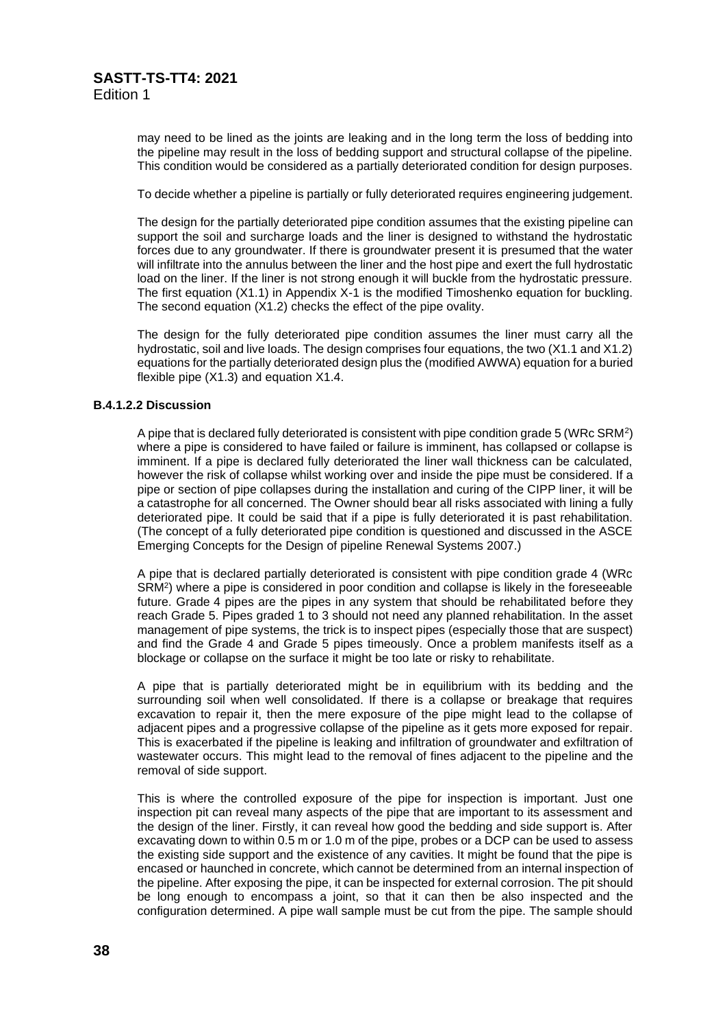may need to be lined as the joints are leaking and in the long term the loss of bedding into the pipeline may result in the loss of bedding support and structural collapse of the pipeline. This condition would be considered as a partially deteriorated condition for design purposes.

To decide whether a pipeline is partially or fully deteriorated requires engineering judgement.

The design for the partially deteriorated pipe condition assumes that the existing pipeline can support the soil and surcharge loads and the liner is designed to withstand the hydrostatic forces due to any groundwater. If there is groundwater present it is presumed that the water will infiltrate into the annulus between the liner and the host pipe and exert the full hydrostatic load on the liner. If the liner is not strong enough it will buckle from the hydrostatic pressure. The first equation (X1.1) in Appendix X-1 is the modified Timoshenko equation for buckling. The second equation (X1.2) checks the effect of the pipe ovality.

The design for the fully deteriorated pipe condition assumes the liner must carry all the hydrostatic, soil and live loads. The design comprises four equations, the two (X1.1 and X1.2) equations for the partially deteriorated design plus the (modified AWWA) equation for a buried flexible pipe (X1.3) and equation X1.4.

## **B.4.1.2.2 Discussion**

A pipe that is declared fully deteriorated is consistent with pipe condition grade 5 (WRc SRM<sup>2</sup>) where a pipe is considered to have failed or failure is imminent, has collapsed or collapse is imminent. If a pipe is declared fully deteriorated the liner wall thickness can be calculated, however the risk of collapse whilst working over and inside the pipe must be considered. If a pipe or section of pipe collapses during the installation and curing of the CIPP liner, it will be a catastrophe for all concerned. The Owner should bear all risks associated with lining a fully deteriorated pipe. It could be said that if a pipe is fully deteriorated it is past rehabilitation. (The concept of a fully deteriorated pipe condition is questioned and discussed in the ASCE Emerging Concepts for the Design of pipeline Renewal Systems 2007.)

A pipe that is declared partially deteriorated is consistent with pipe condition grade 4 (WRc SRM<sup>2</sup>) where a pipe is considered in poor condition and collapse is likely in the foreseeable future. Grade 4 pipes are the pipes in any system that should be rehabilitated before they reach Grade 5. Pipes graded 1 to 3 should not need any planned rehabilitation. In the asset management of pipe systems, the trick is to inspect pipes (especially those that are suspect) and find the Grade 4 and Grade 5 pipes timeously. Once a problem manifests itself as a blockage or collapse on the surface it might be too late or risky to rehabilitate.

A pipe that is partially deteriorated might be in equilibrium with its bedding and the surrounding soil when well consolidated. If there is a collapse or breakage that requires excavation to repair it, then the mere exposure of the pipe might lead to the collapse of adjacent pipes and a progressive collapse of the pipeline as it gets more exposed for repair. This is exacerbated if the pipeline is leaking and infiltration of groundwater and exfiltration of wastewater occurs. This might lead to the removal of fines adjacent to the pipeline and the removal of side support.

This is where the controlled exposure of the pipe for inspection is important. Just one inspection pit can reveal many aspects of the pipe that are important to its assessment and the design of the liner. Firstly, it can reveal how good the bedding and side support is. After excavating down to within 0.5 m or 1.0 m of the pipe, probes or a DCP can be used to assess the existing side support and the existence of any cavities. It might be found that the pipe is encased or haunched in concrete, which cannot be determined from an internal inspection of the pipeline. After exposing the pipe, it can be inspected for external corrosion. The pit should be long enough to encompass a joint, so that it can then be also inspected and the configuration determined. A pipe wall sample must be cut from the pipe. The sample should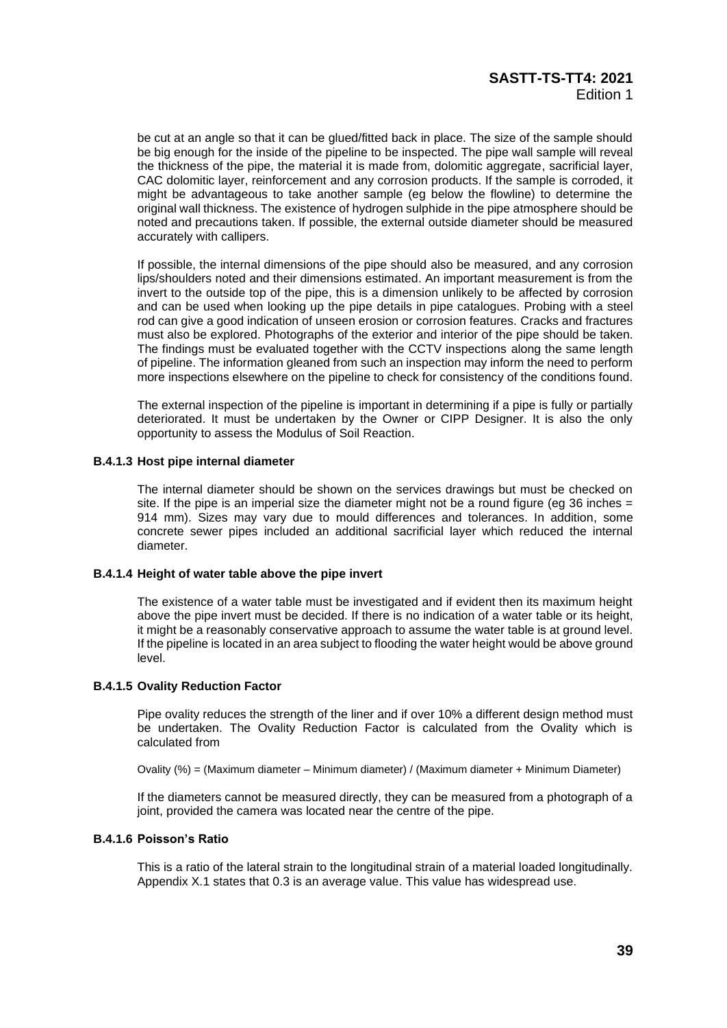be cut at an angle so that it can be glued/fitted back in place. The size of the sample should be big enough for the inside of the pipeline to be inspected. The pipe wall sample will reveal the thickness of the pipe, the material it is made from, dolomitic aggregate, sacrificial layer, CAC dolomitic layer, reinforcement and any corrosion products. If the sample is corroded, it might be advantageous to take another sample (eg below the flowline) to determine the original wall thickness. The existence of hydrogen sulphide in the pipe atmosphere should be noted and precautions taken. If possible, the external outside diameter should be measured accurately with callipers.

If possible, the internal dimensions of the pipe should also be measured, and any corrosion lips/shoulders noted and their dimensions estimated. An important measurement is from the invert to the outside top of the pipe, this is a dimension unlikely to be affected by corrosion and can be used when looking up the pipe details in pipe catalogues. Probing with a steel rod can give a good indication of unseen erosion or corrosion features. Cracks and fractures must also be explored. Photographs of the exterior and interior of the pipe should be taken. The findings must be evaluated together with the CCTV inspections along the same length of pipeline. The information gleaned from such an inspection may inform the need to perform more inspections elsewhere on the pipeline to check for consistency of the conditions found.

The external inspection of the pipeline is important in determining if a pipe is fully or partially deteriorated. It must be undertaken by the Owner or CIPP Designer. It is also the only opportunity to assess the Modulus of Soil Reaction.

#### **B.4.1.3 Host pipe internal diameter**

The internal diameter should be shown on the services drawings but must be checked on site. If the pipe is an imperial size the diameter might not be a round figure (eg 36 inches  $=$ 914 mm). Sizes may vary due to mould differences and tolerances. In addition, some concrete sewer pipes included an additional sacrificial layer which reduced the internal diameter.

#### **B.4.1.4 Height of water table above the pipe invert**

The existence of a water table must be investigated and if evident then its maximum height above the pipe invert must be decided. If there is no indication of a water table or its height, it might be a reasonably conservative approach to assume the water table is at ground level. If the pipeline is located in an area subject to flooding the water height would be above ground level.

#### **B.4.1.5 Ovality Reduction Factor**

Pipe ovality reduces the strength of the liner and if over 10% a different design method must be undertaken. The Ovality Reduction Factor is calculated from the Ovality which is calculated from

Ovality (%) = (Maximum diameter – Minimum diameter) / (Maximum diameter + Minimum Diameter)

If the diameters cannot be measured directly, they can be measured from a photograph of a joint, provided the camera was located near the centre of the pipe.

#### **B.4.1.6 Poisson's Ratio**

This is a ratio of the lateral strain to the longitudinal strain of a material loaded longitudinally. Appendix X.1 states that 0.3 is an average value. This value has widespread use.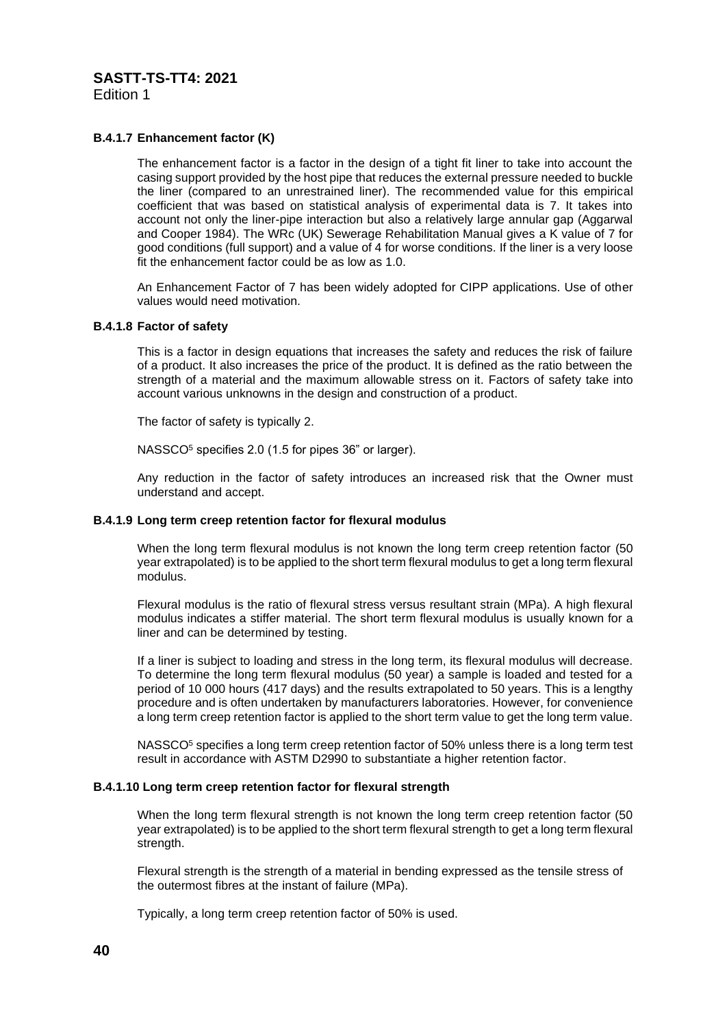# **SASTT-TS-TT4: 2021**

Edition 1

## **B.4.1.7 Enhancement factor (K)**

The enhancement factor is a factor in the design of a tight fit liner to take into account the casing support provided by the host pipe that reduces the external pressure needed to buckle the liner (compared to an unrestrained liner). The recommended value for this empirical coefficient that was based on statistical analysis of experimental data is 7. It takes into account not only the liner-pipe interaction but also a relatively large annular gap (Aggarwal and Cooper 1984). The WRc (UK) Sewerage Rehabilitation Manual gives a K value of 7 for good conditions (full support) and a value of 4 for worse conditions. If the liner is a very loose fit the enhancement factor could be as low as 1.0.

An Enhancement Factor of 7 has been widely adopted for CIPP applications. Use of other values would need motivation.

#### **B.4.1.8 Factor of safety**

This is a factor in design equations that increases the safety and reduces the risk of failure of a product. It also increases the price of the product. It is defined as the ratio between the strength of a material and the maximum allowable stress on it. Factors of safety take into account various unknowns in the design and construction of a product.

The factor of safety is typically 2.

NASSCO<sup>5</sup> specifies 2.0 (1.5 for pipes 36" or larger).

Any reduction in the factor of safety introduces an increased risk that the Owner must understand and accept.

#### **B.4.1.9 Long term creep retention factor for flexural modulus**

When the long term flexural modulus is not known the long term creep retention factor (50 year extrapolated) is to be applied to the short term flexural modulus to get a long term flexural modulus.

Flexural modulus is the ratio of flexural stress versus resultant strain (MPa). A high flexural modulus indicates a stiffer material. The short term flexural modulus is usually known for a liner and can be determined by testing.

If a liner is subject to loading and stress in the long term, its flexural modulus will decrease. To determine the long term flexural modulus (50 year) a sample is loaded and tested for a period of 10 000 hours (417 days) and the results extrapolated to 50 years. This is a lengthy procedure and is often undertaken by manufacturers laboratories. However, for convenience a long term creep retention factor is applied to the short term value to get the long term value.

NASSCO<sup>5</sup> specifies a long term creep retention factor of 50% unless there is a long term test result in accordance with ASTM D2990 to substantiate a higher retention factor.

#### **B.4.1.10 Long term creep retention factor for flexural strength**

When the long term flexural strength is not known the long term creep retention factor (50 year extrapolated) is to be applied to the short term flexural strength to get a long term flexural strength.

Flexural strength is the strength of a material in bending expressed as the tensile stress of the outermost fibres at the instant of failure (MPa).

Typically, a long term creep retention factor of 50% is used.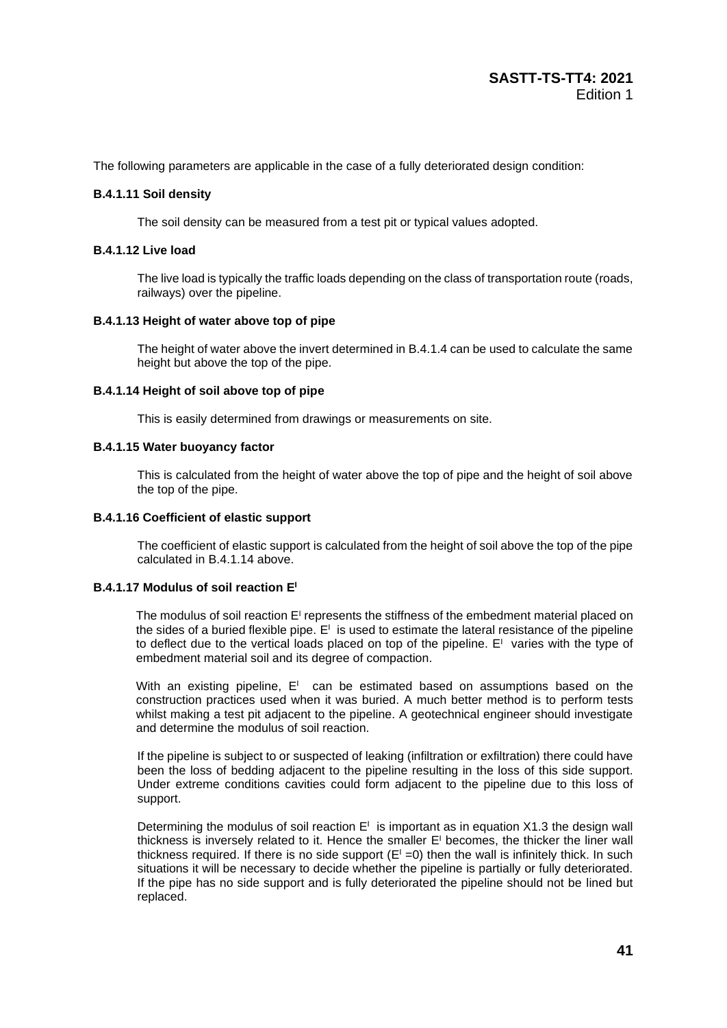The following parameters are applicable in the case of a fully deteriorated design condition:

#### **B.4.1.11 Soil density**

The soil density can be measured from a test pit or typical values adopted.

#### **B.4.1.12 Live load**

The live load is typically the traffic loads depending on the class of transportation route (roads, railways) over the pipeline.

#### **B.4.1.13 Height of water above top of pipe**

The height of water above the invert determined in B.4.1.4 can be used to calculate the same height but above the top of the pipe.

#### **B.4.1.14 Height of soil above top of pipe**

This is easily determined from drawings or measurements on site.

#### **B.4.1.15 Water buoyancy factor**

This is calculated from the height of water above the top of pipe and the height of soil above the top of the pipe.

#### **B.4.1.16 Coefficient of elastic support**

The coefficient of elastic support is calculated from the height of soil above the top of the pipe calculated in B.4.1.14 above.

#### **B.4.1.17 Modulus of soil reaction E I**

The modulus of soil reaction E<sup>I</sup> represents the stiffness of the embedment material placed on the sides of a buried flexible pipe.  $E^1$  is used to estimate the lateral resistance of the pipeline to deflect due to the vertical loads placed on top of the pipeline.  $E^{\dagger}$  varies with the type of embedment material soil and its degree of compaction.

With an existing pipeline,  $E^1$  can be estimated based on assumptions based on the construction practices used when it was buried. A much better method is to perform tests whilst making a test pit adjacent to the pipeline. A geotechnical engineer should investigate and determine the modulus of soil reaction.

If the pipeline is subject to or suspected of leaking (infiltration or exfiltration) there could have been the loss of bedding adjacent to the pipeline resulting in the loss of this side support. Under extreme conditions cavities could form adjacent to the pipeline due to this loss of support.

Determining the modulus of soil reaction  $E^1$  is important as in equation X1.3 the design wall thickness is inversely related to it. Hence the smaller  $E<sup>I</sup>$  becomes, the thicker the liner wall thickness required. If there is no side support  $(E<sup>I</sup> = 0)$  then the wall is infinitely thick. In such situations it will be necessary to decide whether the pipeline is partially or fully deteriorated. If the pipe has no side support and is fully deteriorated the pipeline should not be lined but replaced.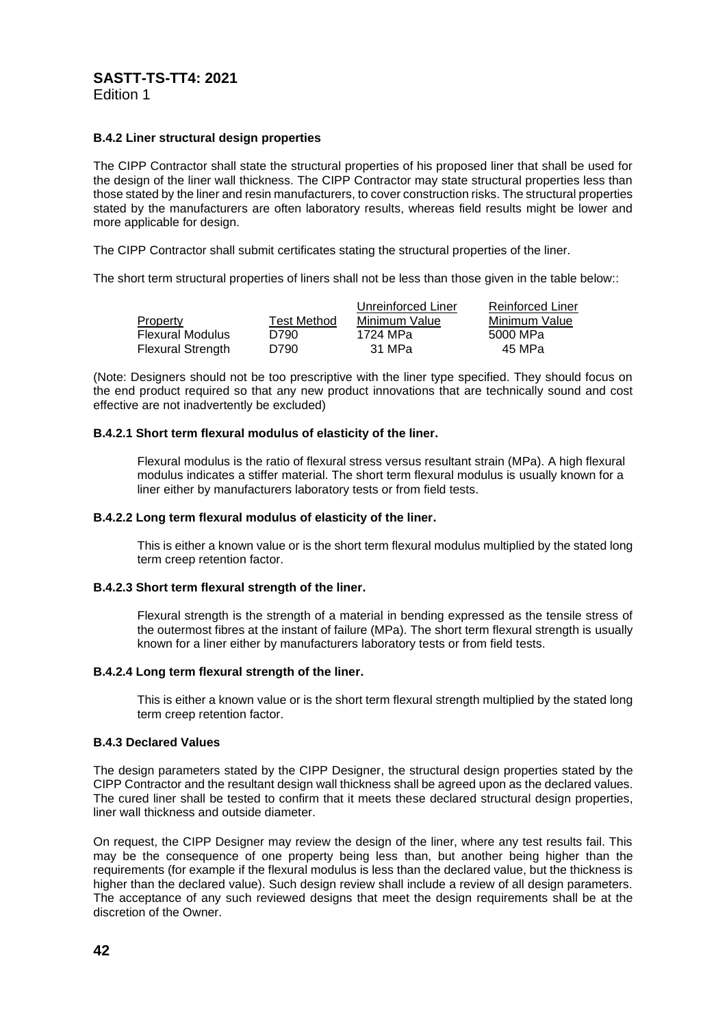# **SASTT-TS-TT4: 2021**

Edition 1

## **B.4.2 Liner structural design properties**

The CIPP Contractor shall state the structural properties of his proposed liner that shall be used for the design of the liner wall thickness. The CIPP Contractor may state structural properties less than those stated by the liner and resin manufacturers, to cover construction risks. The structural properties stated by the manufacturers are often laboratory results, whereas field results might be lower and more applicable for design.

The CIPP Contractor shall submit certificates stating the structural properties of the liner.

The short term structural properties of liners shall not be less than those given in the table below::

|                          |             | Unreinforced Liner | Reinforced Liner |
|--------------------------|-------------|--------------------|------------------|
| Property                 | Test Method | Minimum Value      | Minimum Value    |
| <b>Flexural Modulus</b>  | D790        | 1724 MPa           | 5000 MPa         |
| <b>Flexural Strength</b> | D790        | 31 MPa             | 45 MPa           |

(Note: Designers should not be too prescriptive with the liner type specified. They should focus on the end product required so that any new product innovations that are technically sound and cost effective are not inadvertently be excluded)

# **B.4.2.1 Short term flexural modulus of elasticity of the liner.**

Flexural modulus is the ratio of flexural stress versus resultant strain (MPa). A high flexural modulus indicates a stiffer material. The short term flexural modulus is usually known for a liner either by manufacturers laboratory tests or from field tests.

#### **B.4.2.2 Long term flexural modulus of elasticity of the liner.**

This is either a known value or is the short term flexural modulus multiplied by the stated long term creep retention factor.

# **B.4.2.3 Short term flexural strength of the liner.**

Flexural strength is the strength of a material in bending expressed as the tensile stress of the outermost fibres at the instant of failure (MPa). The short term flexural strength is usually known for a liner either by manufacturers laboratory tests or from field tests.

#### **B.4.2.4 Long term flexural strength of the liner.**

This is either a known value or is the short term flexural strength multiplied by the stated long term creep retention factor.

#### **B.4.3 Declared Values**

The design parameters stated by the CIPP Designer, the structural design properties stated by the CIPP Contractor and the resultant design wall thickness shall be agreed upon as the declared values. The cured liner shall be tested to confirm that it meets these declared structural design properties, liner wall thickness and outside diameter.

On request, the CIPP Designer may review the design of the liner, where any test results fail. This may be the consequence of one property being less than, but another being higher than the requirements (for example if the flexural modulus is less than the declared value, but the thickness is higher than the declared value). Such design review shall include a review of all design parameters. The acceptance of any such reviewed designs that meet the design requirements shall be at the discretion of the Owner.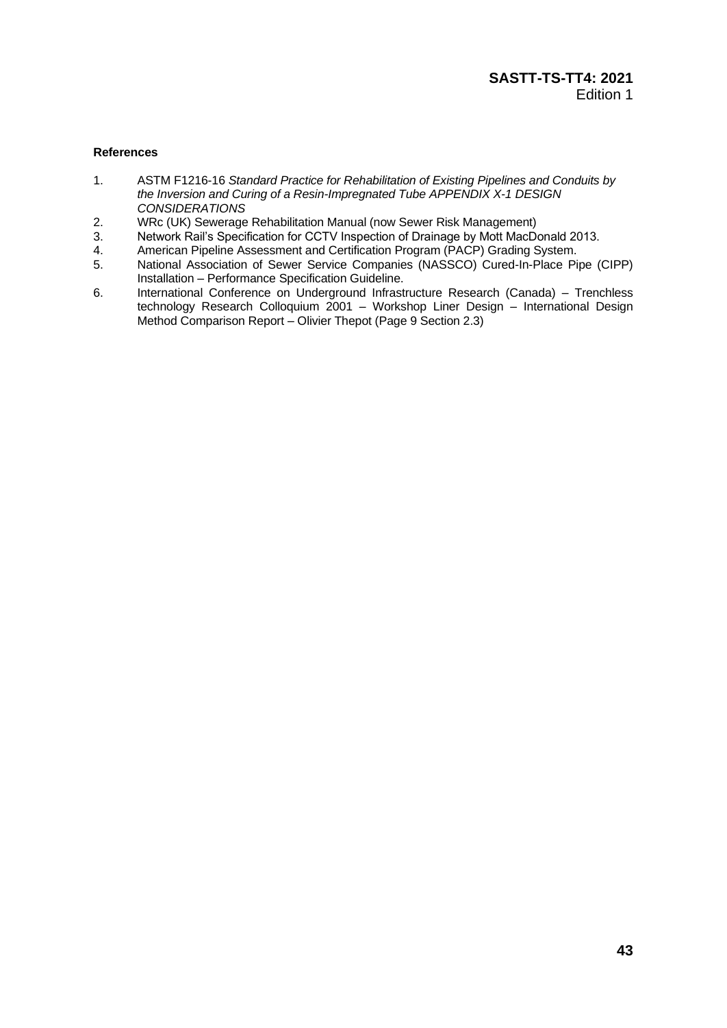## **References**

- 1. ASTM F1216-16 *Standard Practice for Rehabilitation of Existing Pipelines and Conduits by the Inversion and Curing of a Resin-Impregnated Tube APPENDIX X-1 DESIGN CONSIDERATIONS*
- 2. WRc (UK) Sewerage Rehabilitation Manual (now Sewer Risk Management)
- 3. Network Rail's Specification for CCTV Inspection of Drainage by Mott MacDonald 2013.
- 4. American Pipeline Assessment and Certification Program (PACP) Grading System.<br>5. National Association of Sewer Service Companies (NASSCO) Cured-In-Place Pi
- National Association of Sewer Service Companies (NASSCO) Cured-In-Place Pipe (CIPP) Installation – Performance Specification Guideline.
- 6. International Conference on Underground Infrastructure Research (Canada) Trenchless technology Research Colloquium 2001 – Workshop Liner Design – International Design Method Comparison Report – Olivier Thepot (Page 9 Section 2.3)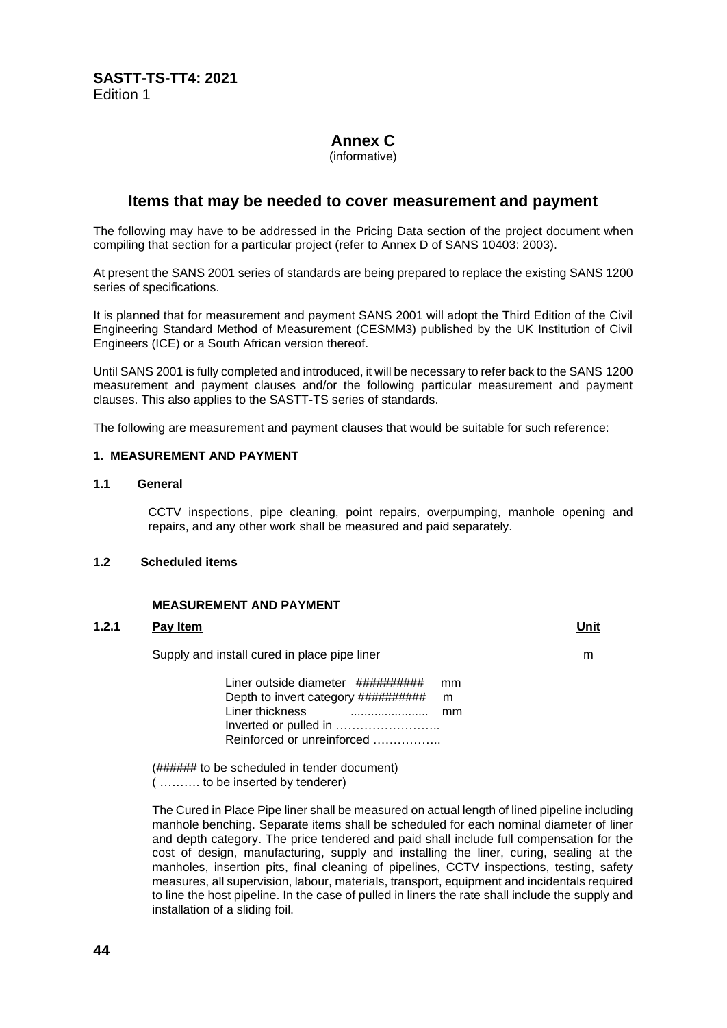# **Annex C**

(informative)

# **Items that may be needed to cover measurement and payment**

The following may have to be addressed in the Pricing Data section of the project document when compiling that section for a particular project (refer to Annex D of SANS 10403: 2003).

At present the SANS 2001 series of standards are being prepared to replace the existing SANS 1200 series of specifications.

It is planned that for measurement and payment SANS 2001 will adopt the Third Edition of the Civil Engineering Standard Method of Measurement (CESMM3) published by the UK Institution of Civil Engineers (ICE) or a South African version thereof.

Until SANS 2001 is fully completed and introduced, it will be necessary to refer back to the SANS 1200 measurement and payment clauses and/or the following particular measurement and payment clauses. This also applies to the SASTT-TS series of standards.

The following are measurement and payment clauses that would be suitable for such reference:

#### **1. MEASUREMENT AND PAYMENT**

#### **1.1 General**

CCTV inspections, pipe cleaning, point repairs, overpumping, manhole opening and repairs, and any other work shall be measured and paid separately.

#### **1.2 Scheduled items**

#### **MEASUREMENT AND PAYMENT**

#### **1.2.1 Pay Item Unit**

Supply and install cured in place pipe liner method of the method of method of  $m$ 

| Liner outside diameter ###########  | mm |
|-------------------------------------|----|
| Depth to invert category ########## | m  |
| Liner thickness                     | mm |
| Inverted or pulled in               |    |
| Reinforced or unreinforced          |    |

(###### to be scheduled in tender document) ( ………. to be inserted by tenderer)

The Cured in Place Pipe liner shall be measured on actual length of lined pipeline including manhole benching. Separate items shall be scheduled for each nominal diameter of liner and depth category. The price tendered and paid shall include full compensation for the cost of design, manufacturing, supply and installing the liner, curing, sealing at the manholes, insertion pits, final cleaning of pipelines, CCTV inspections, testing, safety measures, all supervision, labour, materials, transport, equipment and incidentals required to line the host pipeline. In the case of pulled in liners the rate shall include the supply and installation of a sliding foil.

**44**